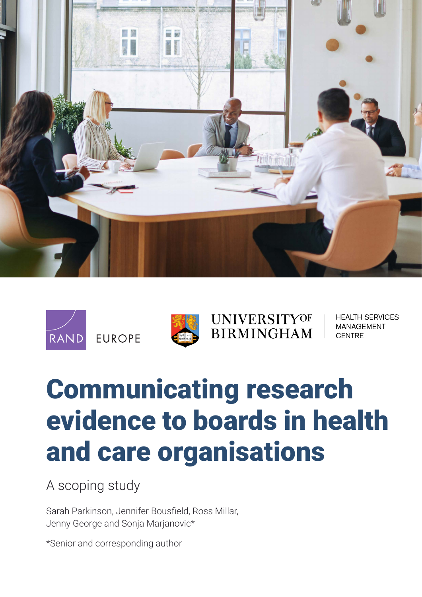





# **UNIVERSITYOF BIRMINGHAM**

**HEALTH SERVICES MANAGEMENT CENTRE** 

# Communicating research [evidence to boards in health](https://www.rand.org/pubs/research_reports/RRA1267-1.html)  and care organisations

A scoping study

Sarah Parkinson, Jennifer Bousfield, Ross Millar, Jenny George and Sonja Marjanovic\*

\*Senior and corresponding author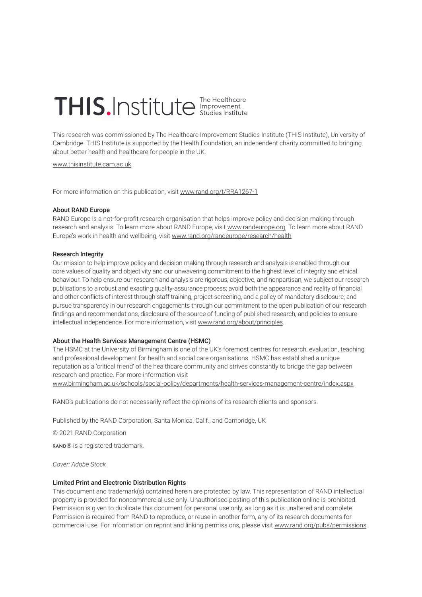# THIS.Institute Interalthcare

This research was commissioned by The Healthcare Improvement Studies Institute (THIS Institute), University of Cambridge. THIS Institute is supported by the Health Foundation, an independent charity committed to bringing about better health and healthcare for people in the UK.

[www.thisinstitute.cam.ac.uk](http://www.thisinstitute.cam.ac.uk)

For more information on this publication, visit [www.rand.org/t/RRA1267-1](http://www.rand.org/t/RRA1267-1)

#### About RAND Europe

RAND Europe is a not-for-profit research organisation that helps improve policy and decision making through research and analysis. To learn more about RAND Europe, visit [www.randeurope.org](http://www.randeurope.org). To learn more about RAND Europe's work in health and wellbeing, visit [www.rand.org/randeurope/research/health](http://www.rand.org/randeurope/research/health)

#### Research Integrity

Our mission to help improve policy and decision making through research and analysis is enabled through our core values of quality and objectivity and our unwavering commitment to the highest level of integrity and ethical behaviour. To help ensure our research and analysis are rigorous, objective, and nonpartisan, we subject our research publications to a robust and exacting quality-assurance process; avoid both the appearance and reality of financial and other conflicts of interest through staff training, project screening, and a policy of mandatory disclosure; and pursue transparency in our research engagements through our commitment to the open publication of our research findings and recommendations, disclosure of the source of funding of published research, and policies to ensure intellectual independence. For more information, visit [www.rand.org/about/principles](http://www.rand.org/about/principles).

#### About the Health Services Management Centre (HSMC)

The HSMC at the University of Birmingham is one of the UK's foremost centres for research, evaluation, teaching and professional development for health and social care organisations. HSMC has established a unique reputation as a 'critical friend' of the healthcare community and strives constantly to bridge the gap between research and practice. For more information visit

[www.birmingham.ac.uk/schools/social-policy/departments/health-services-management-centre/index.aspx](http://www.birmingham.ac.uk/schools/social-policy/departments/health-services-management-centre/index.aspx)

RAND's publications do not necessarily reflect the opinions of its research clients and sponsors.

Published by the RAND Corporation, Santa Monica, Calif., and Cambridge, UK

© 2021 RAND Corporation

RAND® is a registered trademark.

*Cover: Adobe Stock*

#### Limited Print and Electronic Distribution Rights

This document and trademark(s) contained herein are protected by law. This representation of RAND intellectual property is provided for noncommercial use only. Unauthorised posting of this publication online is prohibited. Permission is given to duplicate this document for personal use only, as long as it is unaltered and complete. Permission is required from RAND to reproduce, or reuse in another form, any of its research documents for commercial use. For information on reprint and linking permissions, please visit [www.rand.org/pubs/permissions.](http://www.rand.org/pubs/permissions)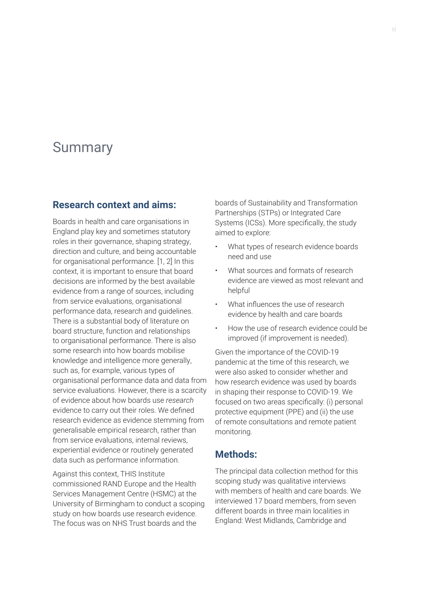# Summary

#### **Research context and aims:**

Boards in health and care organisations in England play key and sometimes statutory roles in their governance, shaping strategy, direction and culture, and being accountable for organisational performance. [1, 2] In this context, it is important to ensure that board decisions are informed by the best available evidence from a range of sources, including from service evaluations, organisational performance data, research and guidelines. There is a substantial body of literature on board structure, function and relationships to organisational performance. There is also some research into how boards mobilise knowledge and intelligence more generally, such as, for example, various types of organisational performance data and data from service evaluations. However, there is a scarcity of evidence about how boards use *research*  evidence to carry out their roles. We defined research evidence as evidence stemming from generalisable empirical research, rather than from service evaluations, internal reviews, experiential evidence or routinely generated data such as performance information.

Against this context, THIS Institute commissioned RAND Europe and the Health Services Management Centre (HSMC) at the University of Birmingham to conduct a scoping study on how boards use research evidence. The focus was on NHS Trust boards and the

boards of Sustainability and Transformation Partnerships (STPs) or Integrated Care Systems (ICSs). More specifically, the study aimed to explore:

- What types of research evidence boards need and use
- What sources and formats of research evidence are viewed as most relevant and helpful
- What influences the use of research evidence by health and care boards
- How the use of research evidence could be improved (if improvement is needed).

Given the importance of the COVID-19 pandemic at the time of this research, we were also asked to consider whether and how research evidence was used by boards in shaping their response to COVID-19. We focused on two areas specifically: (i) personal protective equipment (PPE) and (ii) the use of remote consultations and remote patient monitoring.

#### **Methods:**

The principal data collection method for this scoping study was qualitative interviews with members of health and care boards. We interviewed 17 board members, from seven different boards in three main localities in England: West Midlands, Cambridge and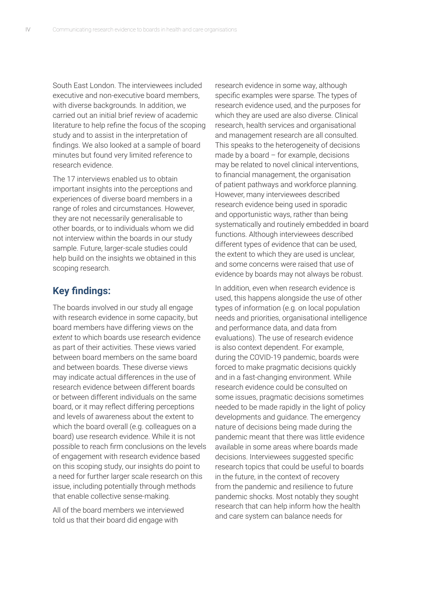South East London. The interviewees included executive and non-executive board members, with diverse backgrounds. In addition, we carried out an initial brief review of academic literature to help refine the focus of the scoping study and to assist in the interpretation of findings. We also looked at a sample of board minutes but found very limited reference to research evidence.

The 17 interviews enabled us to obtain important insights into the perceptions and experiences of diverse board members in a range of roles and circumstances. However, they are not necessarily generalisable to other boards, or to individuals whom we did not interview within the boards in our study sample. Future, larger-scale studies could help build on the insights we obtained in this scoping research.

#### **Key findings:**

The boards involved in our study all engage with research evidence in some capacity, but board members have differing views on the *extent* to which boards use research evidence as part of their activities. These views varied between board members on the same board and between boards. These diverse views may indicate actual differences in the use of research evidence between different boards or between different individuals on the same board, or it may reflect differing perceptions and levels of awareness about the extent to which the board overall (e.g. colleagues on a board) use research evidence. While it is not possible to reach firm conclusions on the levels of engagement with research evidence based on this scoping study, our insights do point to a need for further larger scale research on this issue, including potentially through methods that enable collective sense-making.

All of the board members we interviewed told us that their board did engage with

research evidence in some way, although specific examples were sparse. The types of research evidence used, and the purposes for which they are used are also diverse. Clinical research, health services and organisational and management research are all consulted. This speaks to the heterogeneity of decisions made by a board – for example, decisions may be related to novel clinical interventions, to financial management, the organisation of patient pathways and workforce planning. However, many interviewees described research evidence being used in sporadic and opportunistic ways, rather than being systematically and routinely embedded in board functions. Although interviewees described different types of evidence that can be used, the extent to which they are used is unclear, and some concerns were raised that use of evidence by boards may not always be robust.

In addition, even when research evidence is used, this happens alongside the use of other types of information (e.g. on local population needs and priorities, organisational intelligence and performance data, and data from evaluations). The use of research evidence is also context dependent. For example, during the COVID-19 pandemic, boards were forced to make pragmatic decisions quickly and in a fast-changing environment. While research evidence could be consulted on some issues, pragmatic decisions sometimes needed to be made rapidly in the light of policy developments and guidance. The emergency nature of decisions being made during the pandemic meant that there was little evidence available in some areas where boards made decisions. Interviewees suggested specific research topics that could be useful to boards in the future, in the context of recovery from the pandemic and resilience to future pandemic shocks. Most notably they sought research that can help inform how the health and care system can balance needs for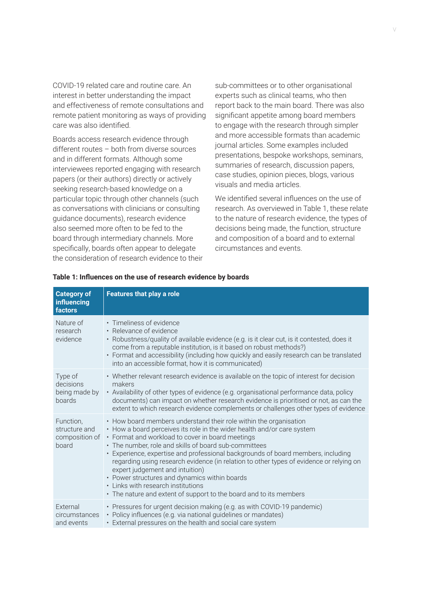COVID-19 related care and routine care. An interest in better understanding the impact and effectiveness of remote consultations and remote patient monitoring as ways of providing care was also identified.

Boards access research evidence through different routes – both from diverse sources and in different formats. Although some interviewees reported engaging with research papers (or their authors) directly or actively seeking research-based knowledge on a particular topic through other channels (such as conversations with clinicians or consulting guidance documents), research evidence also seemed more often to be fed to the board through intermediary channels. More specifically, boards often appear to delegate the consideration of research evidence to their

sub-committees or to other organisational experts such as clinical teams, who then report back to the main board. There was also significant appetite among board members to engage with the research through simpler and more accessible formats than academic journal articles. Some examples included presentations, bespoke workshops, seminars, summaries of research, discussion papers, case studies, opinion pieces, blogs, various visuals and media articles.

We identified several influences on the use of research. As overviewed in Table 1, these relate to the nature of research evidence, the types of decisions being made, the function, structure and composition of a board and to external circumstances and events.

| <b>Category of</b><br>influencing<br>factors          | <b>Features that play a role</b>                                                                                                                                                                                                                                                                                                                                                                                                                                                                                                                                                                                                         |
|-------------------------------------------------------|------------------------------------------------------------------------------------------------------------------------------------------------------------------------------------------------------------------------------------------------------------------------------------------------------------------------------------------------------------------------------------------------------------------------------------------------------------------------------------------------------------------------------------------------------------------------------------------------------------------------------------------|
| Nature of<br>research<br>evidence                     | • Timeliness of evidence<br>• Relevance of evidence<br>• Robustness/quality of available evidence (e.g. is it clear cut, is it contested, does it<br>come from a reputable institution, is it based on robust methods?)<br>• Format and accessibility (including how quickly and easily research can be translated<br>into an accessible format, how it is communicated)                                                                                                                                                                                                                                                                 |
| Type of<br>decisions<br>being made by<br>boards       | • Whether relevant research evidence is available on the topic of interest for decision<br>makers<br>• Availability of other types of evidence (e.g. organisational performance data, policy<br>documents) can impact on whether research evidence is prioritised or not, as can the<br>extent to which research evidence complements or challenges other types of evidence                                                                                                                                                                                                                                                              |
| Function,<br>structure and<br>composition of<br>board | • How board members understand their role within the organisation<br>• How a board perceives its role in the wider health and/or care system<br>• Format and workload to cover in board meetings<br>• The number, role and skills of board sub-committees<br>• Experience, expertise and professional backgrounds of board members, including<br>regarding using research evidence (in relation to other types of evidence or relying on<br>expert judgement and intuition)<br>• Power structures and dynamics within boards<br>• Links with research institutions<br>• The nature and extent of support to the board and to its members |
| External<br>circumstances<br>and events               | • Pressures for urgent decision making (e.g. as with COVID-19 pandemic)<br>• Policy influences (e.g. via national guidelines or mandates)<br>• External pressures on the health and social care system                                                                                                                                                                                                                                                                                                                                                                                                                                   |

#### **Table 1: Influences on the use of research evidence by boards**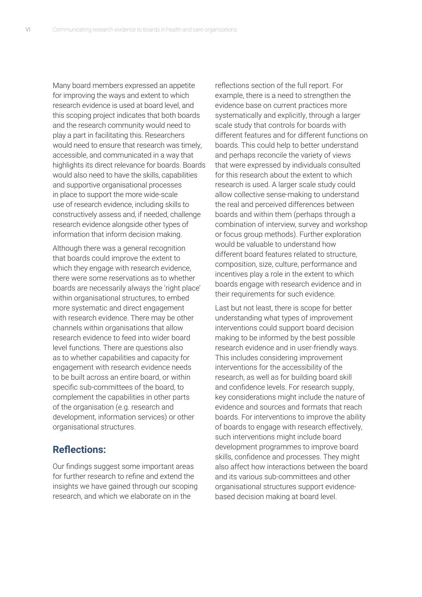Many board members expressed an appetite for improving the ways and extent to which research evidence is used at board level, and this scoping project indicates that both boards and the research community would need to play a part in facilitating this. Researchers would need to ensure that research was timely, accessible, and communicated in a way that highlights its direct relevance for boards. Boards would also need to have the skills, capabilities and supportive organisational processes in place to support the more wide-scale use of research evidence, including skills to constructively assess and, if needed, challenge research evidence alongside other types of information that inform decision making.

Although there was a general recognition that boards could improve the extent to which they engage with research evidence. there were some reservations as to whether boards are necessarily always the 'right place' within organisational structures, to embed more systematic and direct engagement with research evidence. There may be other channels within organisations that allow research evidence to feed into wider board level functions. There are questions also as to whether capabilities and capacity for engagement with research evidence needs to be built across an entire board, or within specific sub-committees of the board, to complement the capabilities in other parts of the organisation (e.g. research and development, information services) or other organisational structures.

#### **Reflections:**

Our findings suggest some important areas for further research to refine and extend the insights we have gained through our scoping research, and which we elaborate on in the

reflections section of the full report. For example, there is a need to strengthen the evidence base on current practices more systematically and explicitly, through a larger scale study that controls for boards with different features and for different functions on boards. This could help to better understand and perhaps reconcile the variety of views that were expressed by individuals consulted for this research about the extent to which research is used. A larger scale study could allow collective sense-making to understand the real and perceived differences between boards and within them (perhaps through a combination of interview, survey and workshop or focus group methods). Further exploration would be valuable to understand how different board features related to structure, composition, size, culture, performance and incentives play a role in the extent to which boards engage with research evidence and in their requirements for such evidence.

Last but not least, there is scope for better understanding what types of improvement interventions could support board decision making to be informed by the best possible research evidence and in user-friendly ways. This includes considering improvement interventions for the accessibility of the research, as well as for building board skill and confidence levels. For research supply, key considerations might include the nature of evidence and sources and formats that reach boards. For interventions to improve the ability of boards to engage with research effectively, such interventions might include board development programmes to improve board skills, confidence and processes. They might also affect how interactions between the board and its various sub-committees and other organisational structures support evidencebased decision making at board level.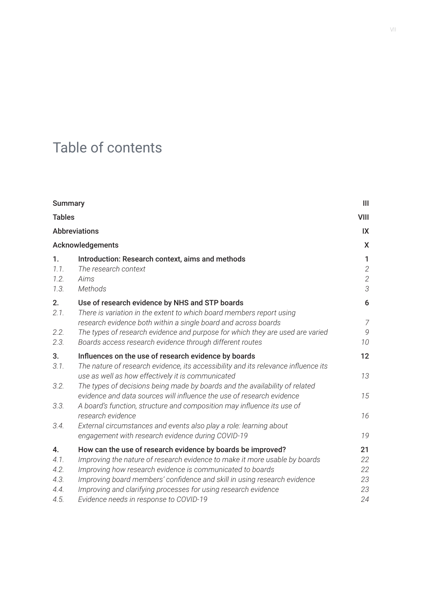# Table of contents

| <b>Summary</b>               |                                                                                                                                                                                                                                                                                       | $\mathbf{III}$                                    |  |
|------------------------------|---------------------------------------------------------------------------------------------------------------------------------------------------------------------------------------------------------------------------------------------------------------------------------------|---------------------------------------------------|--|
|                              | <b>Tables</b><br><b>Abbreviations</b>                                                                                                                                                                                                                                                 |                                                   |  |
|                              |                                                                                                                                                                                                                                                                                       |                                                   |  |
| Acknowledgements             |                                                                                                                                                                                                                                                                                       |                                                   |  |
| 1.<br>1.1.<br>1.2.<br>1.3.   | Introduction: Research context, aims and methods<br>The research context<br>Aims<br><b>Methods</b>                                                                                                                                                                                    | $\mathbf{1}$<br>$\sqrt{2}$<br>$\overline{c}$<br>3 |  |
| 2.<br>2.1.                   | Use of research evidence by NHS and STP boards<br>There is variation in the extent to which board members report using<br>research evidence both within a single board and across boards                                                                                              | 6<br>$\overline{Z}$                               |  |
| 2.2.<br>2.3.                 | The types of research evidence and purpose for which they are used are varied<br>Boards access research evidence through different routes                                                                                                                                             | 9<br>10                                           |  |
| 3.<br>3.1.                   | Influences on the use of research evidence by boards<br>The nature of research evidence, its accessibility and its relevance influence its                                                                                                                                            | 12<br>13                                          |  |
| 3.2.<br>3.3.                 | use as well as how effectively it is communicated<br>The types of decisions being made by boards and the availability of related<br>evidence and data sources will influence the use of research evidence<br>A board's function, structure and composition may influence its use of   | 15                                                |  |
| 3.4.                         | research evidence<br>External circumstances and events also play a role: learning about<br>engagement with research evidence during COVID-19                                                                                                                                          | 16<br>19                                          |  |
| 4.                           | How can the use of research evidence by boards be improved?                                                                                                                                                                                                                           | 21                                                |  |
| 4.1.<br>4.2.<br>4.3.<br>4.4. | Improving the nature of research evidence to make it more usable by boards<br>Improving how research evidence is communicated to boards<br>Improving board members' confidence and skill in using research evidence<br>Improving and clarifying processes for using research evidence | 22<br>22<br>23<br>23                              |  |
| 4.5.                         | Evidence needs in response to COVID-19                                                                                                                                                                                                                                                | 24                                                |  |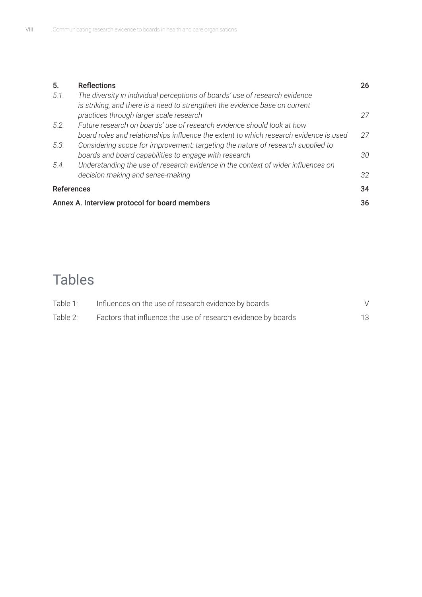| 5.                                            | <b>Reflections</b>                                                                    | 26 |
|-----------------------------------------------|---------------------------------------------------------------------------------------|----|
| 5.1.                                          | The diversity in individual perceptions of boards' use of research evidence           |    |
|                                               | is striking, and there is a need to strengthen the evidence base on current           |    |
|                                               | practices through larger scale research                                               | 27 |
| 5.2.                                          | Future research on boards' use of research evidence should look at how                |    |
|                                               | board roles and relationships influence the extent to which research evidence is used | 27 |
| 5.3.                                          | Considering scope for improvement: targeting the nature of research supplied to       |    |
|                                               | boards and board capabilities to engage with research                                 | 30 |
| 5.4.                                          | Understanding the use of research evidence in the context of wider influences on      |    |
|                                               | decision making and sense-making                                                      | 32 |
| <b>References</b>                             |                                                                                       | 34 |
| Annex A. Interview protocol for board members |                                                                                       |    |

# Tables

| Table 1: | Influences on the use of research evidence by boards          |    |
|----------|---------------------------------------------------------------|----|
| Table 2: | Factors that influence the use of research evidence by boards | 13 |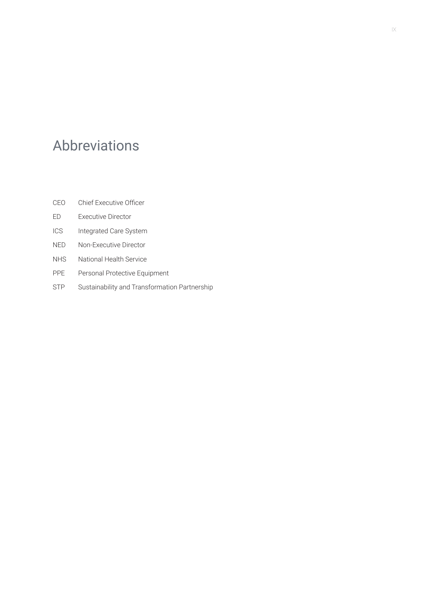# Abbreviations

- CEO Chief Executive Officer
- ED Executive Director
- ICS Integrated Care System
- NED Non-Executive Director
- NHS National Health Service
- PPE Personal Protective Equipment
- STP Sustainability and Transformation Partnership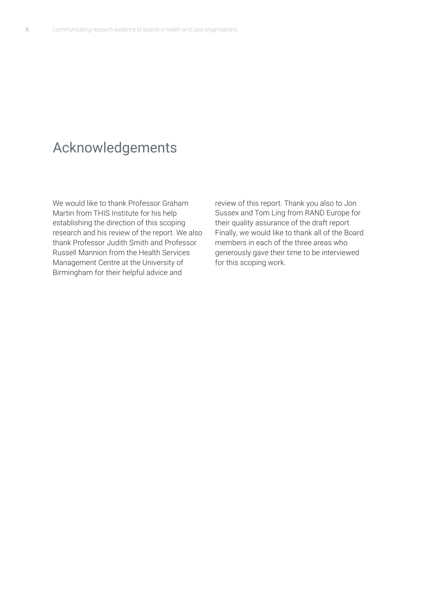# Acknowledgements

We would like to thank Professor Graham Martin from THIS Institute for his help establishing the direction of this scoping research and his review of the report. We also thank Professor Judith Smith and Professor Russell Mannion from the Health Services Management Centre at the University of Birmingham for their helpful advice and

review of this report. Thank you also to Jon Sussex and Tom Ling from RAND Europe for their quality assurance of the draft report. Finally, we would like to thank all of the Board members in each of the three areas who generously gave their time to be interviewed for this scoping work.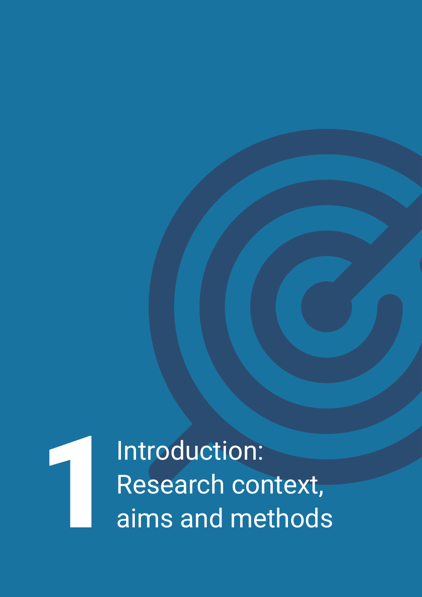Introduction: Research context,<br>aims and methods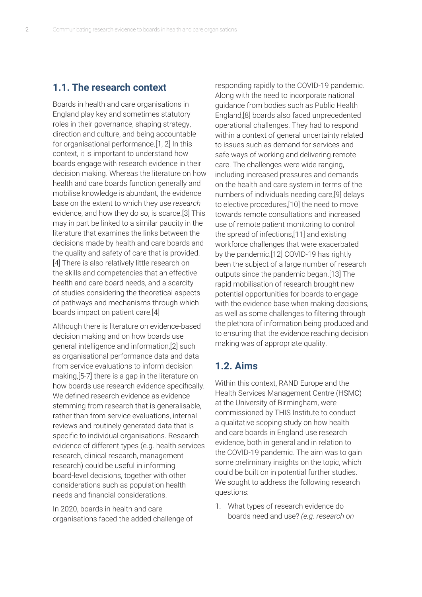#### **1.1. The research context**

Boards in health and care organisations in England play key and sometimes statutory roles in their governance, shaping strategy, direction and culture, and being accountable for organisational performance.[1, 2] In this context, it is important to understand how boards engage with research evidence in their decision making. Whereas the literature on how health and care boards function generally and mobilise knowledge is abundant, the evidence base on the extent to which they use *research* evidence, and how they do so, is scarce.[3] This may in part be linked to a similar paucity in the literature that examines the links between the decisions made by health and care boards and the quality and safety of care that is provided. [4] There is also relatively little research on the skills and competencies that an effective health and care board needs, and a scarcity of studies considering the theoretical aspects of pathways and mechanisms through which boards impact on patient care.[4]

Although there is literature on evidence-based decision making and on how boards use general intelligence and information,[2] such as organisational performance data and data from service evaluations to inform decision making,[5-7] there is a gap in the literature on how boards use research evidence specifically. We defined research evidence as evidence stemming from research that is generalisable, rather than from service evaluations, internal reviews and routinely generated data that is specific to individual organisations. Research evidence of different types (e.g. health services research, clinical research, management research) could be useful in informing board-level decisions, together with other considerations such as population health needs and financial considerations.

In 2020, boards in health and care organisations faced the added challenge of

responding rapidly to the COVID-19 pandemic. Along with the need to incorporate national guidance from bodies such as Public Health England,[8] boards also faced unprecedented operational challenges. They had to respond within a context of general uncertainty related to issues such as demand for services and safe ways of working and delivering remote care. The challenges were wide ranging, including increased pressures and demands on the health and care system in terms of the numbers of individuals needing care,[9] delays to elective procedures,[10] the need to move towards remote consultations and increased use of remote patient monitoring to control the spread of infections,[11] and existing workforce challenges that were exacerbated by the pandemic.[12] COVID-19 has rightly been the subject of a large number of research outputs since the pandemic began.[13] The rapid mobilisation of research brought new potential opportunities for boards to engage with the evidence base when making decisions, as well as some challenges to filtering through the plethora of information being produced and to ensuring that the evidence reaching decision making was of appropriate quality.

## **1.2. Aims**

Within this context, RAND Europe and the Health Services Management Centre (HSMC) at the University of Birmingham, were commissioned by THIS Institute to conduct a qualitative scoping study on how health and care boards in England use research evidence, both in general and in relation to the COVID-19 pandemic. The aim was to gain some preliminary insights on the topic, which could be built on in potential further studies. We sought to address the following research questions:

1. What types of research evidence do boards need and use? *(e.g. research on*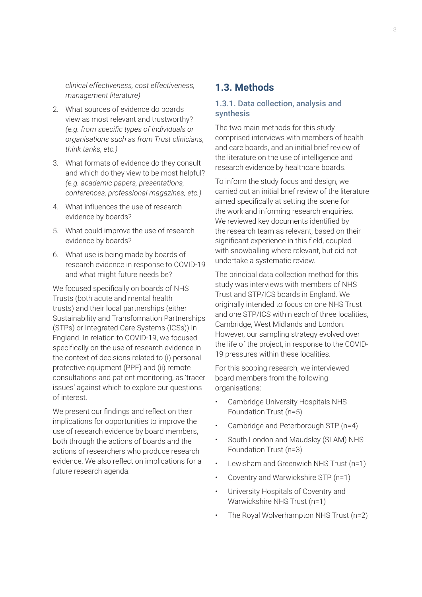*clinical effectiveness, cost effectiveness, management literature)*

- 2. What sources of evidence do boards view as most relevant and trustworthy? *(e.g. from specific types of individuals or organisations such as from Trust clinicians, think tanks, etc.)*
- 3. What formats of evidence do they consult and which do they view to be most helpful? *(e.g. academic papers, presentations, conferences, professional magazines, etc.)*
- 4. What influences the use of research evidence by boards?
- 5. What could improve the use of research evidence by boards?
- 6. What use is being made by boards of research evidence in response to COVID-19 and what might future needs be?

We focused specifically on boards of NHS Trusts (both acute and mental health trusts) and their local partnerships (either Sustainability and Transformation Partnerships (STPs) or Integrated Care Systems (ICSs)) in England. In relation to COVID-19, we focused specifically on the use of research evidence in the context of decisions related to (i) personal protective equipment (PPE) and (ii) remote consultations and patient monitoring, as 'tracer issues' against which to explore our questions of interest.

We present our findings and reflect on their implications for opportunities to improve the use of research evidence by board members, both through the actions of boards and the actions of researchers who produce research evidence. We also reflect on implications for a future research agenda.

#### **1.3. Methods**

#### 1.3.1. Data collection, analysis and synthesis

The two main methods for this study comprised interviews with members of health and care boards, and an initial brief review of the literature on the use of intelligence and research evidence by healthcare boards.

To inform the study focus and design, we carried out an initial brief review of the literature aimed specifically at setting the scene for the work and informing research enquiries. We reviewed key documents identified by the research team as relevant, based on their significant experience in this field, coupled with snowballing where relevant, but did not undertake a systematic review.

The principal data collection method for this study was interviews with members of NHS Trust and STP/ICS boards in England. We originally intended to focus on one NHS Trust and one STP/ICS within each of three localities, Cambridge, West Midlands and London. However, our sampling strategy evolved over the life of the project, in response to the COVID-19 pressures within these localities.

For this scoping research, we interviewed board members from the following organisations:

- Cambridge University Hospitals NHS Foundation Trust (n=5)
- Cambridge and Peterborough STP (n=4)
- South London and Maudsley (SLAM) NHS Foundation Trust (n=3)
- Lewisham and Greenwich NHS Trust (n=1)
- Coventry and Warwickshire STP (n=1)
- University Hospitals of Coventry and Warwickshire NHS Trust (n=1)
- The Royal Wolverhampton NHS Trust (n=2)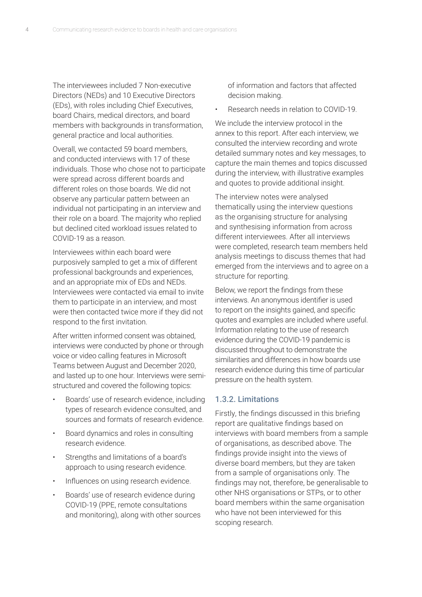The interviewees included 7 Non-executive Directors (NEDs) and 10 Executive Directors (EDs), with roles including Chief Executives, board Chairs, medical directors, and board members with backgrounds in transformation, general practice and local authorities.

Overall, we contacted 59 board members, and conducted interviews with 17 of these individuals. Those who chose not to participate were spread across different boards and different roles on those boards. We did not observe any particular pattern between an individual not participating in an interview and their role on a board. The majority who replied but declined cited workload issues related to COVID-19 as a reason.

Interviewees within each board were purposively sampled to get a mix of different professional backgrounds and experiences, and an appropriate mix of EDs and NEDs. Interviewees were contacted via email to invite them to participate in an interview, and most were then contacted twice more if they did not respond to the first invitation.

After written informed consent was obtained, interviews were conducted by phone or through voice or video calling features in Microsoft Teams between August and December 2020, and lasted up to one hour. Interviews were semistructured and covered the following topics:

- Boards' use of research evidence, including types of research evidence consulted, and sources and formats of research evidence.
- Board dynamics and roles in consulting research evidence.
- Strengths and limitations of a board's approach to using research evidence.
- Influences on using research evidence.
- Boards' use of research evidence during COVID-19 (PPE, remote consultations and monitoring), along with other sources

of information and factors that affected decision making.

• Research needs in relation to COVID-19.

We include the interview protocol in the annex to this report. After each interview, we consulted the interview recording and wrote detailed summary notes and key messages, to capture the main themes and topics discussed during the interview, with illustrative examples and quotes to provide additional insight.

The interview notes were analysed thematically using the interview questions as the organising structure for analysing and synthesising information from across different interviewees. After all interviews were completed, research team members held analysis meetings to discuss themes that had emerged from the interviews and to agree on a structure for reporting.

Below, we report the findings from these interviews. An anonymous identifier is used to report on the insights gained, and specific quotes and examples are included where useful. Information relating to the use of research evidence during the COVID-19 pandemic is discussed throughout to demonstrate the similarities and differences in how boards use research evidence during this time of particular pressure on the health system.

#### 1.3.2. Limitations

Firstly, the findings discussed in this briefing report are qualitative findings based on interviews with board members from a sample of organisations, as described above. The findings provide insight into the views of diverse board members, but they are taken from a sample of organisations only. The findings may not, therefore, be generalisable to other NHS organisations or STPs, or to other board members within the same organisation who have not been interviewed for this scoping research.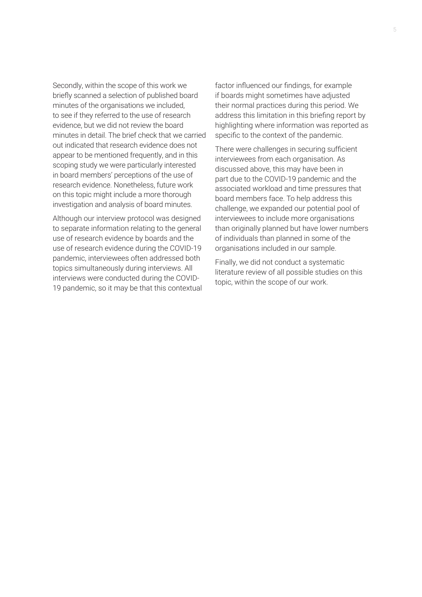Secondly, within the scope of this work we briefly scanned a selection of published board minutes of the organisations we included, to see if they referred to the use of research evidence, but we did not review the board minutes in detail. The brief check that we carried out indicated that research evidence does not appear to be mentioned frequently, and in this scoping study we were particularly interested in board members' perceptions of the use of research evidence. Nonetheless, future work on this topic might include a more thorough investigation and analysis of board minutes.

Although our interview protocol was designed to separate information relating to the general use of research evidence by boards and the use of research evidence during the COVID-19 pandemic, interviewees often addressed both topics simultaneously during interviews. All interviews were conducted during the COVID-19 pandemic, so it may be that this contextual

factor influenced our findings, for example if boards might sometimes have adjusted their normal practices during this period. We address this limitation in this briefing report by highlighting where information was reported as specific to the context of the pandemic.

There were challenges in securing sufficient interviewees from each organisation. As discussed above, this may have been in part due to the COVID-19 pandemic and the associated workload and time pressures that board members face. To help address this challenge, we expanded our potential pool of interviewees to include more organisations than originally planned but have lower numbers of individuals than planned in some of the organisations included in our sample.

Finally, we did not conduct a systematic literature review of all possible studies on this topic, within the scope of our work.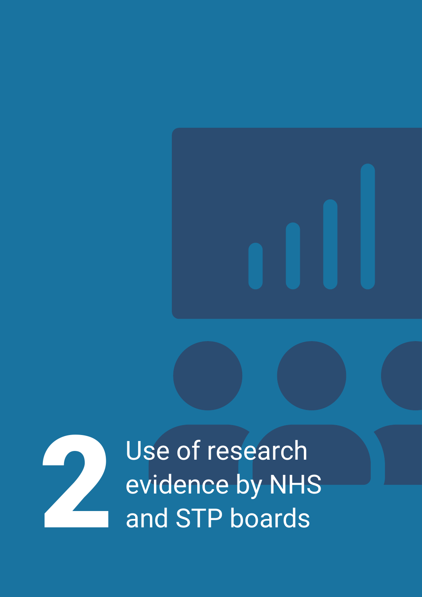

Use of research evidence by NHS<br>and STP boards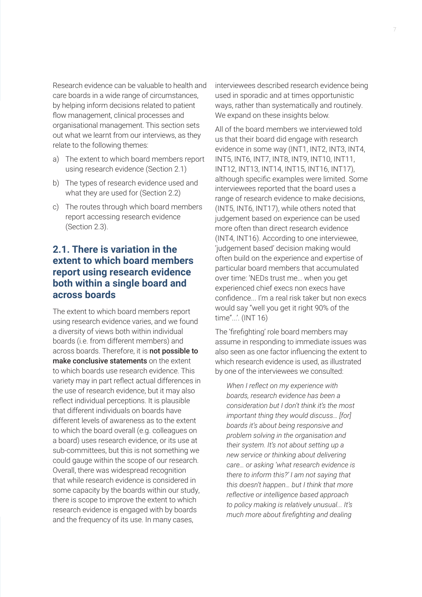Research evidence can be valuable to health and care boards in a wide range of circumstances, by helping inform decisions related to patient flow management, clinical processes and organisational management. This section sets out what we learnt from our interviews, as they relate to the following themes:

- a) The extent to which board members report using research evidence (Section 2.1)
- b) The types of research evidence used and what they are used for (Section 2.2)
- c) The routes through which board members report accessing research evidence (Section 2.3).

## **2.1. There is variation in the extent to which board members report using research evidence both within a single board and across boards**

The extent to which board members report using research evidence varies, and we found a diversity of views both within individual boards (i.e. from different members) and across boards. Therefore, it is not possible to make conclusive statements on the extent to which boards use research evidence. This variety may in part reflect actual differences in the use of research evidence, but it may also reflect individual perceptions. It is plausible that different individuals on boards have different levels of awareness as to the extent to which the board overall (e.g. colleagues on a board) uses research evidence, or its use at sub-committees, but this is not something we could gauge within the scope of our research. Overall, there was widespread recognition that while research evidence is considered in some capacity by the boards within our study, there is scope to improve the extent to which research evidence is engaged with by boards and the frequency of its use. In many cases,

interviewees described research evidence being used in sporadic and at times opportunistic ways, rather than systematically and routinely. We expand on these insights below.

All of the board members we interviewed told us that their board did engage with research evidence in some way (INT1, INT2, INT3, INT4, INT5, INT6, INT7, INT8, INT9, INT10, INT11, INT12, INT13, INT14, INT15, INT16, INT17), although specific examples were limited. Some interviewees reported that the board uses a range of research evidence to make decisions, (INT5, INT6, INT17), while others noted that judgement based on experience can be used more often than direct research evidence (INT4, INT16). According to one interviewee, 'judgement based' decision making would often build on the experience and expertise of particular board members that accumulated over time: 'NEDs trust me… when you get experienced chief execs non execs have confidence... I'm a real risk taker but non execs would say "well you get it right 90% of the time"...'. (INT 16)

The 'firefighting' role board members may assume in responding to immediate issues was also seen as one factor influencing the extent to which research evidence is used, as illustrated by one of the interviewees we consulted:

*When I reflect on my experience with boards, research evidence has been a consideration but I don't think it's the most important thing they would discuss… [for] boards it's about being responsive and problem solving in the organisation and their system. It's not about setting up a new service or thinking about delivering care… or asking 'what research evidence is there to inform this?' I am not saying that this doesn't happen… but I think that more reflective or intelligence based approach to policy making is relatively unusual... It's much more about firefighting and dealing*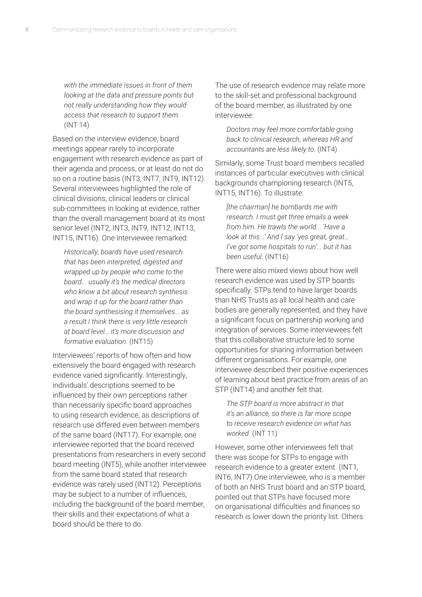*with the immediate issues in front of them looking at the data and pressure points but not really understanding how they would access that research to support them.* (INT 14)

Based on the interview evidence, board meetings appear rarely to incorporate engagement with research evidence as part of their agenda and process, or at least do not do so on a routine basis (INT3, INT7, INT9, INT12). Several interviewees highlighted the role of clinical divisions, clinical leaders or clinical sub-committees in looking at evidence, rather than the overall management board at its most senior level (INT2, INT3, INT9, INT12, INT13, INT15, INT16). One interviewee remarked:

*Historically, boards have used research that has been interpreted, digested and wrapped up by people who come to the board... usually it's the medical directors who know a bit about research synthesis and wrap it up for the board rather than the board synthesising it themselves... as a result I think there is very little research at board level… it's more discussion and formative evaluation.* (INT15)

Interviewees' reports of how often and how extensively the board engaged with research evidence varied significantly. Interestingly, individuals' descriptions seemed to be influenced by their own perceptions rather than necessarily specific board approaches to using research evidence, as descriptions of research use differed even between members of the same board (INT17). For example, one interviewee reported that the board received presentations from researchers in every second board meeting (INT5), while another interviewee from the same board stated that research evidence was rarely used (INT12). Perceptions may be subject to a number of influences, including the background of the board member, their skills and their expectations of what a board should be there to do.

The use of research evidence may relate more to the skill-set and professional background of the board member, as illustrated by one interviewee:

*Doctors may feel more comfortable going back to clinical research, whereas HR and accountants are less likely to.* (INT4)

Similarly, some Trust board members recalled instances of particular executives with clinical backgrounds championing research (INT5, INT15, INT16). To illustrate:

*[the chairman] he bombards me with research. I must get three emails a week from him. He trawls the world... 'Have a look at this...' And I say 'yes great, great… I've got some hospitals to run'... but it has been useful.* (INT16)

There were also mixed views about how well research evidence was used by STP boards specifically. STPs tend to have larger boards than NHS Trusts as all local health and care bodies are generally represented, and they have a significant focus on partnership working and integration of services. Some interviewees felt that this collaborative structure led to some opportunities for sharing information between different organisations. For example, one interviewee described their positive experiences of learning about best practice from areas of an STP (INT14) and another felt that:

*The STP board is more abstract in that it's an alliance, so there is far more scope to receive research evidence on what has worked.* (INT 11)

However, some other interviewees felt that there was scope for STPs to engage with research evidence to a greater extent. (INT1, INT6, INT7) One interviewee, who is a member of both an NHS Trust board and an STP board, pointed out that STPs have focused more on organisational difficulties and finances so research is lower down the priority list. Others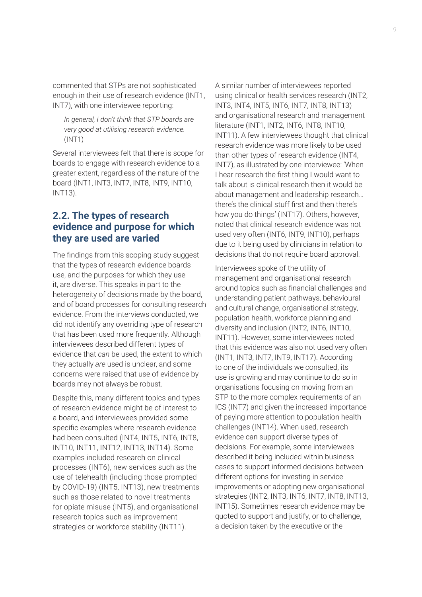commented that STPs are not sophisticated enough in their use of research evidence (INT1, INT7), with one interviewee reporting:

*In general, I don't think that STP boards are very good at utilising research evidence.* (INT1)

Several interviewees felt that there is scope for boards to engage with research evidence to a greater extent, regardless of the nature of the board (INT1, INT3, INT7, INT8, INT9, INT10, INT13).

## **2.2. The types of research evidence and purpose for which they are used are varied**

The findings from this scoping study suggest that the types of research evidence boards use, and the purposes for which they use it, are diverse. This speaks in part to the heterogeneity of decisions made by the board, and of board processes for consulting research evidence. From the interviews conducted, we did not identify any overriding type of research that has been used more frequently. Although interviewees described different types of evidence that *can* be used, the extent to which they actually *are* used is unclear, and some concerns were raised that use of evidence by boards may not always be robust.

Despite this, many different topics and types of research evidence might be of interest to a board, and interviewees provided some specific examples where research evidence had been consulted (INT4, INT5, INT6, INT8, INT10, INT11, INT12, INT13, INT14). Some examples included research on clinical processes (INT6), new services such as the use of telehealth (including those prompted by COVID-19) (INT5, INT13), new treatments such as those related to novel treatments for opiate misuse (INT5), and organisational research topics such as improvement strategies or workforce stability (INT11).

A similar number of interviewees reported using clinical or health services research (INT2, INT3, INT4, INT5, INT6, INT7, INT8, INT13) and organisational research and management literature (INT1, INT2, INT6, INT8, INT10, INT11). A few interviewees thought that clinical research evidence was more likely to be used than other types of research evidence (INT4, INT7), as illustrated by one interviewee: 'When I hear research the first thing I would want to talk about is clinical research then it would be about management and leadership research… there's the clinical stuff first and then there's how you do things' (INT17). Others, however, noted that clinical research evidence was not used very often (INT6, INT9, INT10), perhaps due to it being used by clinicians in relation to decisions that do not require board approval.

Interviewees spoke of the utility of management and organisational research around topics such as financial challenges and understanding patient pathways, behavioural and cultural change, organisational strategy, population health, workforce planning and diversity and inclusion (INT2, INT6, INT10, INT11). However, some interviewees noted that this evidence was also not used very often (INT1, INT3, INT7, INT9, INT17). According to one of the individuals we consulted, its use is growing and may continue to do so in organisations focusing on moving from an STP to the more complex requirements of an ICS (INT7) and given the increased importance of paying more attention to population health challenges (INT14). When used, research evidence can support diverse types of decisions. For example, some interviewees described it being included within business cases to support informed decisions between different options for investing in service improvements or adopting new organisational strategies (INT2, INT3, INT6, INT7, INT8, INT13, INT15). Sometimes research evidence may be quoted to support and justify, or to challenge, a decision taken by the executive or the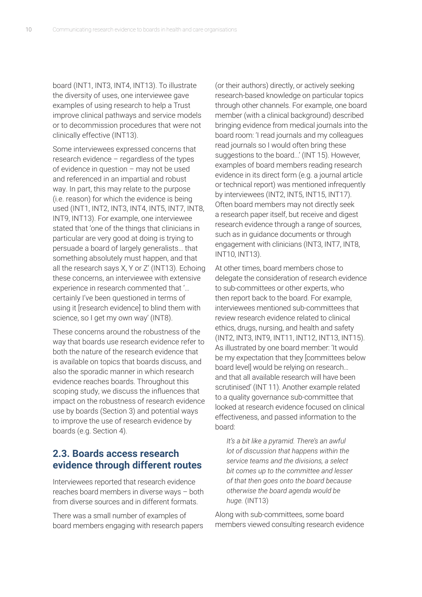board (INT1, INT3, INT4, INT13). To illustrate the diversity of uses, one interviewee gave examples of using research to help a Trust improve clinical pathways and service models or to decommission procedures that were not clinically effective (INT13).

Some interviewees expressed concerns that research evidence – regardless of the types of evidence in question – may not be used and referenced in an impartial and robust way. In part, this may relate to the purpose (i.e. reason) for which the evidence is being used (INT1, INT2, INT3, INT4, INT5, INT7, INT8, INT9, INT13). For example, one interviewee stated that 'one of the things that clinicians in particular are very good at doing is trying to persuade a board of largely generalists… that something absolutely must happen, and that all the research says X, Y or Z' (INT13). Echoing these concerns, an interviewee with extensive experience in research commented that '… certainly I've been questioned in terms of using it [research evidence] to blind them with science, so I get my own way' (INT8).

These concerns around the robustness of the way that boards use research evidence refer to both the nature of the research evidence that is available on topics that boards discuss, and also the sporadic manner in which research evidence reaches boards. Throughout this scoping study, we discuss the influences that impact on the robustness of research evidence use by boards (Section 3) and potential ways to improve the use of research evidence by boards (e.g. Section 4).

## **2.3. Boards access research evidence through different routes**

Interviewees reported that research evidence reaches board members in diverse ways – both from diverse sources and in different formats.

There was a small number of examples of board members engaging with research papers (or their authors) directly, or actively seeking research-based knowledge on particular topics through other channels. For example, one board member (with a clinical background) described bringing evidence from medical journals into the board room: 'I read journals and my colleagues read journals so I would often bring these suggestions to the board...' (INT 15). However, examples of board members reading research evidence in its direct form (e.g. a journal article or technical report) was mentioned infrequently by interviewees (INT2, INT5, INT15, INT17). Often board members may not directly seek a research paper itself, but receive and digest research evidence through a range of sources, such as in guidance documents or through engagement with clinicians (INT3, INT7, INT8, INT10, INT13).

At other times, board members chose to delegate the consideration of research evidence to sub-committees or other experts, who then report back to the board. For example, interviewees mentioned sub-committees that review research evidence related to clinical ethics, drugs, nursing, and health and safety (INT2, INT3, INT9, INT11, INT12, INT13, INT15). As illustrated by one board member: 'It would be my expectation that they [committees below board level] would be relying on research… and that all available research will have been scrutinised' (INT 11). Another example related to a quality governance sub-committee that looked at research evidence focused on clinical effectiveness, and passed information to the board:

*It's a bit like a pyramid. There's an awful lot of discussion that happens within the service teams and the divisions, a select bit comes up to the committee and lesser of that then goes onto the board because otherwise the board agenda would be huge.* (INT13)

Along with sub-committees, some board members viewed consulting research evidence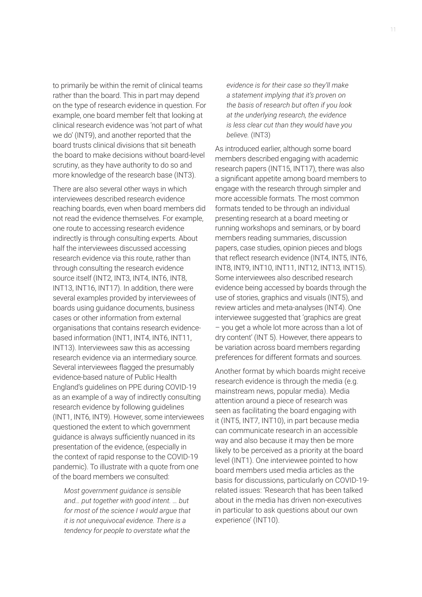to primarily be within the remit of clinical teams rather than the board. This in part may depend on the type of research evidence in question. For example, one board member felt that looking at clinical research evidence was 'not part of what we do' (INT9), and another reported that the board trusts clinical divisions that sit beneath the board to make decisions without board-level scrutiny, as they have authority to do so and more knowledge of the research base (INT3).

There are also several other ways in which interviewees described research evidence reaching boards, even when board members did not read the evidence themselves. For example, one route to accessing research evidence indirectly is through consulting experts. About half the interviewees discussed accessing research evidence via this route, rather than through consulting the research evidence source itself (INT2, INT3, INT4, INT6, INT8, INT13, INT16, INT17). In addition, there were several examples provided by interviewees of boards using guidance documents, business cases or other information from external organisations that contains research evidencebased information (INT1, INT4, INT6, INT11, INT13). Interviewees saw this as accessing research evidence via an intermediary source. Several interviewees flagged the presumably evidence-based nature of Public Health England's guidelines on PPE during COVID-19 as an example of a way of indirectly consulting research evidence by following guidelines (INT1, INT6, INT9). However, some interviewees questioned the extent to which government guidance is always sufficiently nuanced in its presentation of the evidence, (especially in the context of rapid response to the COVID-19 pandemic). To illustrate with a quote from one of the board members we consulted:

*Most government guidance is sensible and… put together with good intent. … but for most of the science I would argue that it is not unequivocal evidence. There is a tendency for people to overstate what the* 

*evidence is for their case so they'll make a statement implying that it's proven on the basis of research but often if you look at the underlying research, the evidence is less clear cut than they would have you believe.* (INT3)

As introduced earlier, although some board members described engaging with academic research papers (INT15, INT17), there was also a significant appetite among board members to engage with the research through simpler and more accessible formats. The most common formats tended to be through an individual presenting research at a board meeting or running workshops and seminars, or by board members reading summaries, discussion papers, case studies, opinion pieces and blogs that reflect research evidence (INT4, INT5, INT6, INT8, INT9, INT10, INT11, INT12, INT13, INT15). Some interviewees also described research evidence being accessed by boards through the use of stories, graphics and visuals (INT5), and review articles and meta-analyses (INT4). One interviewee suggested that 'graphics are great – you get a whole lot more across than a lot of dry content' (INT 5). However, there appears to be variation across board members regarding preferences for different formats and sources.

Another format by which boards might receive research evidence is through the media (e.g. mainstream news, popular media). Media attention around a piece of research was seen as facilitating the board engaging with it (INT5, INT7, INT10), in part because media can communicate research in an accessible way and also because it may then be more likely to be perceived as a priority at the board level (INT1). One interviewee pointed to how board members used media articles as the basis for discussions, particularly on COVID-19 related issues: 'Research that has been talked about in the media has driven non-executives in particular to ask questions about our own experience' (INT10).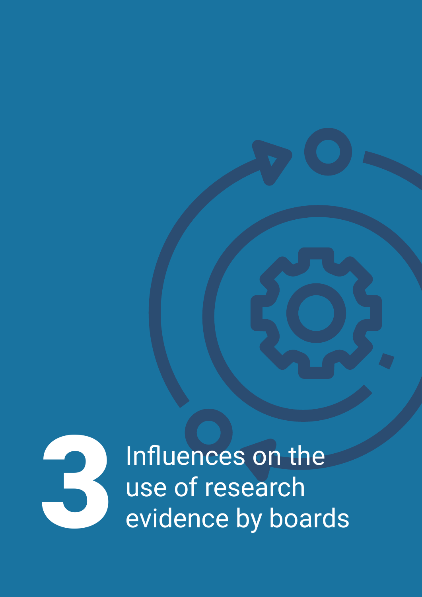

Influences on the use of research 3evidence by boards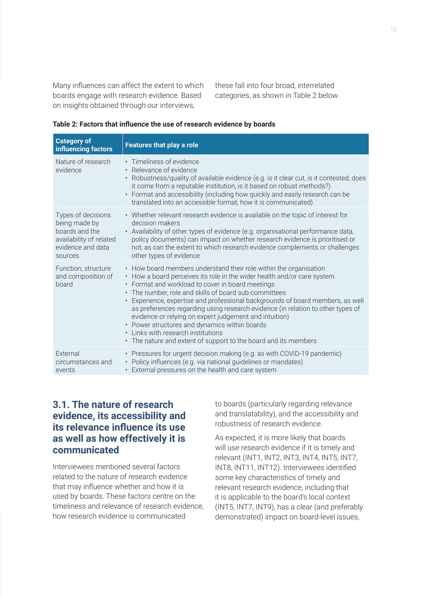Many influences can affect the extent to which boards engage with research evidence. Based on insights obtained through our interviews,

these fall into four broad, interrelated categories, as shown in Table 2 below.

| Table 2: Factors that influence the use of research evidence by boards |
|------------------------------------------------------------------------|
|------------------------------------------------------------------------|

| <b>Category of</b><br>influencing factors                                                                        | <b>Features that play a role</b>                                                                                                                                                                                                                                                                                                                                                                                                                                                                                                                                                                                                                   |
|------------------------------------------------------------------------------------------------------------------|----------------------------------------------------------------------------------------------------------------------------------------------------------------------------------------------------------------------------------------------------------------------------------------------------------------------------------------------------------------------------------------------------------------------------------------------------------------------------------------------------------------------------------------------------------------------------------------------------------------------------------------------------|
| Nature of research<br>evidence                                                                                   | • Timeliness of evidence<br>• Relevance of evidence<br>• Robustness/quality of available evidence (e.g. is it clear cut, is it contested, does<br>it come from a reputable institution, is it based on robust methods?)<br>• Format and accessibility (including how quickly and easily research can be<br>translated into an accessible format, how it is communicated)                                                                                                                                                                                                                                                                           |
| Types of decisions<br>being made by<br>boards and the<br>availability of related<br>evidence and data<br>sources | • Whether relevant research evidence is available on the topic of interest for<br>decision makers<br>• Availability of other types of evidence (e.g. organisational performance data,<br>policy documents) can impact on whether research evidence is prioritised or<br>not, as can the extent to which research evidence complements or challenges<br>other types of evidence                                                                                                                                                                                                                                                                     |
| Function, structure<br>and composition of<br>board                                                               | • How board members understand their role within the organisation<br>• How a board perceives its role in the wider health and/or care system<br>• Format and workload to cover in board meetings<br>• The number, role and skills of board sub-committees<br>• Experience, expertise and professional backgrounds of board members, as well<br>as preferences regarding using research evidence (in relation to other types of<br>evidence or relying on expert judgement and intuition)<br>• Power structures and dynamics within boards<br>• Links with research institutions<br>• The nature and extent of support to the board and its members |
| External<br>circumstances and<br>events                                                                          | • Pressures for urgent decision making (e.g. as with COVID-19 pandemic)<br>• Policy influences (e.g. via national guidelines or mandates)<br>• External pressures on the health and care system                                                                                                                                                                                                                                                                                                                                                                                                                                                    |

# **3.1. The nature of research evidence, its accessibility and its relevance influence its use as well as how effectively it is communicated**

Interviewees mentioned several factors related to the nature of research evidence that may influence whether and how it is used by boards. These factors centre on the timeliness and relevance of research evidence, how research evidence is communicated

to boards (particularly regarding relevance and translatability), and the accessibility and robustness of research evidence.

As expected, it is more likely that boards will use research evidence if it is timely and relevant (INT1, INT2, INT3, INT4, INT5, INT7, INT8, INT11, INT12). Interviewees identified some key characteristics of timely and relevant research evidence, including that it is applicable to the board's local context (INT5, INT7, INT9), has a clear (and preferably demonstrated) impact on board-level issues,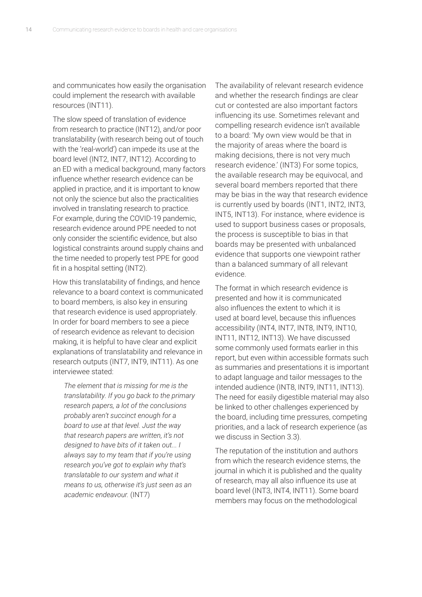and communicates how easily the organisation could implement the research with available resources (INT11).

The slow speed of translation of evidence from research to practice (INT12), and/or poor translatability (with research being out of touch with the 'real-world') can impede its use at the board level (INT2, INT7, INT12). According to an ED with a medical background, many factors influence whether research evidence can be applied in practice, and it is important to know not only the science but also the practicalities involved in translating research to practice. For example, during the COVID-19 pandemic, research evidence around PPE needed to not only consider the scientific evidence, but also logistical constraints around supply chains and the time needed to properly test PPE for good fit in a hospital setting (INT2).

How this translatability of findings, and hence relevance to a board context is communicated to board members, is also key in ensuring that research evidence is used appropriately. In order for board members to see a piece of research evidence as relevant to decision making, it is helpful to have clear and explicit explanations of translatability and relevance in research outputs (INT7, INT9, INT11). As one interviewee stated:

*The element that is missing for me is the translatability. If you go back to the primary research papers, a lot of the conclusions probably aren't succinct enough for a board to use at that level. Just the way that research papers are written, it's not designed to have bits of it taken out... I always say to my team that if you're using research you've got to explain why that's translatable to our system and what it means to us, otherwise it's just seen as an academic endeavour.* (INT7)

The availability of relevant research evidence and whether the research findings are clear cut or contested are also important factors influencing its use. Sometimes relevant and compelling research evidence isn't available to a board: 'My own view would be that in the majority of areas where the board is making decisions, there is not very much research evidence.' (INT3) For some topics, the available research may be equivocal, and several board members reported that there may be bias in the way that research evidence is currently used by boards (INT1, INT2, INT3, INT5, INT13). For instance, where evidence is used to support business cases or proposals, the process is susceptible to bias in that boards may be presented with unbalanced evidence that supports one viewpoint rather than a balanced summary of all relevant evidence.

The format in which research evidence is presented and how it is communicated also influences the extent to which it is used at board level, because this influences accessibility (INT4, INT7, INT8, INT9, INT10, INT11, INT12, INT13). We have discussed some commonly used formats earlier in this report, but even within accessible formats such as summaries and presentations it is important to adapt language and tailor messages to the intended audience (INT8, INT9, INT11, INT13). The need for easily digestible material may also be linked to other challenges experienced by the board, including time pressures, competing priorities, and a lack of research experience (as we discuss in Section 3.3).

The reputation of the institution and authors from which the research evidence stems, the journal in which it is published and the quality of research, may all also influence its use at board level (INT3, INT4, INT11). Some board members may focus on the methodological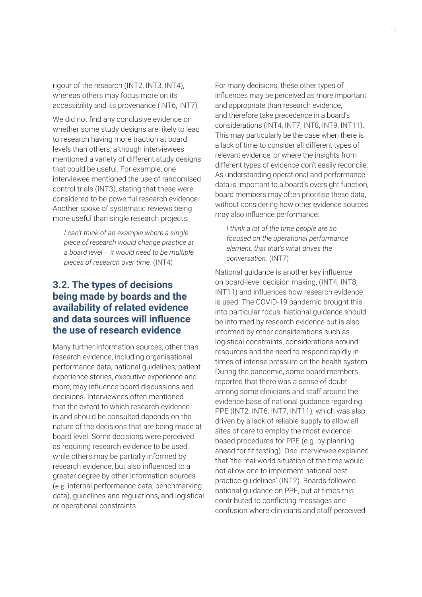rigour of the research (INT2, INT3, INT4), whereas others may focus more on its accessibility and its provenance (INT6, INT7).

We did not find any conclusive evidence on whether some study designs are likely to lead to research having more traction at board levels than others, although interviewees mentioned a variety of different study designs that could be useful. For example, one interviewee mentioned the use of randomised control trials (INT3), stating that these were considered to be powerful research evidence. Another spoke of systematic reviews being more useful than single research projects:

*I can't think of an example where a single piece of research would change practice at a board level – it would need to be multiple pieces of research over time.* (INT4)

## **3.2. The types of decisions being made by boards and the availability of related evidence and data sources will influence the use of research evidence**

Many further information sources, other than research evidence, including organisational performance data, national guidelines, patient experience stories, executive experience and more, may influence board discussions and decisions. Interviewees often mentioned that the extent to which research evidence is and should be consulted depends on the nature of the decisions that are being made at board level. Some decisions were perceived as requiring research evidence to be used, while others may be partially informed by research evidence, but also influenced to a greater degree by other information sources (e.g. internal performance data, benchmarking data), guidelines and regulations, and logistical or operational constraints.

For many decisions, these other types of influences may be perceived as more important and appropriate than research evidence, and therefore take precedence in a board's considerations (INT4, INT7, INT8, INT9, INT11). This may particularly be the case when there is a lack of time to consider all different types of relevant evidence, or where the insights from different types of evidence don't easily reconcile. As understanding operational and performance data is important to a board's oversight function, board members may often prioritise these data, without considering how other evidence sources may also influence performance:

*I think a lot of the time people are so focused on the operational performance element, that that's what drives the conversation.* (INT7)

National guidance is another key influence on board-level decision making, (INT4, INT8, INT11) and influences how research evidence is used. The COVID-19 pandemic brought this into particular focus. National guidance should be informed by research evidence but is also informed by other considerations such as logistical constraints, considerations around resources and the need to respond rapidly in times of intense pressure on the health system. During the pandemic, some board members reported that there was a sense of doubt among some clinicians and staff around the evidence base of national guidance regarding PPE (INT2, INT6, INT7, INT11), which was also driven by a lack of reliable supply to allow all sites of care to employ the most evidencebased procedures for PPE (e.g. by planning ahead for fit testing). One interviewee explained that 'the real-world situation of the time would not allow one to implement national best practice guidelines' (INT2). Boards followed national guidance on PPE, but at times this contributed to conflicting messages and confusion where clinicians and staff perceived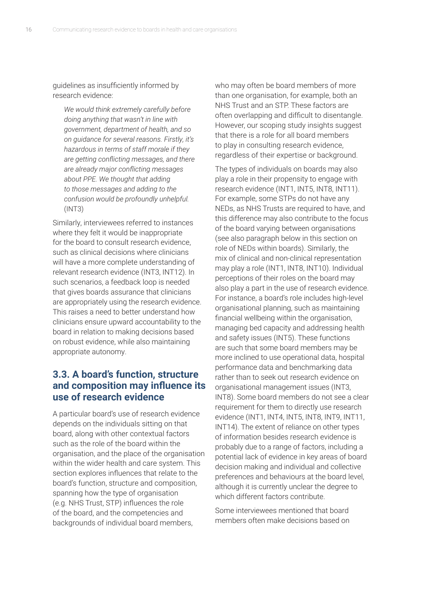guidelines as insufficiently informed by research evidence:

*We would think extremely carefully before doing anything that wasn't in line with government, department of health, and so on guidance for several reasons. Firstly, it's hazardous in terms of staff morale if they are getting conflicting messages, and there are already major conflicting messages about PPE. We thought that adding to those messages and adding to the confusion would be profoundly unhelpful.*  (INT3)

Similarly, interviewees referred to instances where they felt it would be inappropriate for the board to consult research evidence, such as clinical decisions where clinicians will have a more complete understanding of relevant research evidence (INT3, INT12). In such scenarios, a feedback loop is needed that gives boards assurance that clinicians are appropriately using the research evidence. This raises a need to better understand how clinicians ensure upward accountability to the board in relation to making decisions based on robust evidence, while also maintaining appropriate autonomy.

## **3.3. A board's function, structure and composition may influence its use of research evidence**

A particular board's use of research evidence depends on the individuals sitting on that board, along with other contextual factors such as the role of the board within the organisation, and the place of the organisation within the wider health and care system. This section explores influences that relate to the board's function, structure and composition, spanning how the type of organisation (e.g. NHS Trust, STP) influences the role of the board, and the competencies and backgrounds of individual board members,

who may often be board members of more than one organisation, for example, both an NHS Trust and an STP. These factors are often overlapping and difficult to disentangle. However, our scoping study insights suggest that there is a role for all board members to play in consulting research evidence, regardless of their expertise or background.

The types of individuals on boards may also play a role in their propensity to engage with research evidence (INT1, INT5, INT8, INT11). For example, some STPs do not have any NEDs, as NHS Trusts are required to have, and this difference may also contribute to the focus of the board varying between organisations (see also paragraph below in this section on role of NEDs within boards). Similarly, the mix of clinical and non-clinical representation may play a role (INT1, INT8, INT10). Individual perceptions of their roles on the board may also play a part in the use of research evidence. For instance, a board's role includes high-level organisational planning, such as maintaining financial wellbeing within the organisation, managing bed capacity and addressing health and safety issues (INT5). These functions are such that some board members may be more inclined to use operational data, hospital performance data and benchmarking data rather than to seek out research evidence on organisational management issues (INT3, INT8). Some board members do not see a clear requirement for them to directly use research evidence (INT1, INT4, INT5, INT8, INT9, INT11, INT14). The extent of reliance on other types of information besides research evidence is probably due to a range of factors, including a potential lack of evidence in key areas of board decision making and individual and collective preferences and behaviours at the board level, although it is currently unclear the degree to which different factors contribute.

Some interviewees mentioned that board members often make decisions based on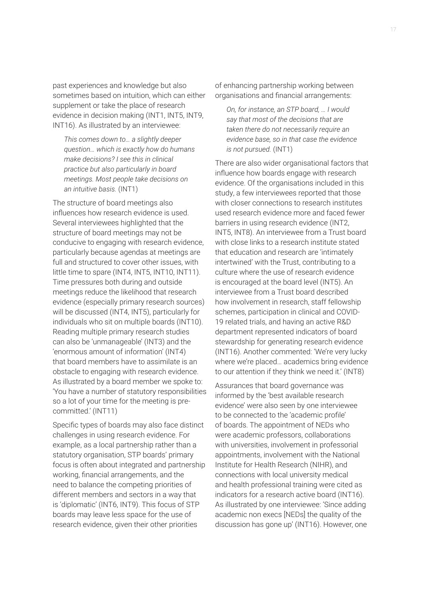past experiences and knowledge but also sometimes based on intuition, which can either supplement or take the place of research evidence in decision making (INT1, INT5, INT9, INT16). As illustrated by an interviewee:

*This comes down to… a slightly deeper question… which is exactly how do humans make decisions? I see this in clinical practice but also particularly in board meetings. Most people take decisions on an intuitive basis.* (INT1)

The structure of board meetings also influences how research evidence is used. Several interviewees highlighted that the structure of board meetings may not be conducive to engaging with research evidence, particularly because agendas at meetings are full and structured to cover other issues, with little time to spare (INT4, INT5, INT10, INT11). Time pressures both during and outside meetings reduce the likelihood that research evidence (especially primary research sources) will be discussed (INT4, INT5), particularly for individuals who sit on multiple boards (INT10). Reading multiple primary research studies can also be 'unmanageable' (INT3) and the 'enormous amount of information' (INT4) that board members have to assimilate is an obstacle to engaging with research evidence. As illustrated by a board member we spoke to: 'You have a number of statutory responsibilities so a lot of your time for the meeting is precommitted.' (INT11)

Specific types of boards may also face distinct challenges in using research evidence. For example, as a local partnership rather than a statutory organisation, STP boards' primary focus is often about integrated and partnership working, financial arrangements, and the need to balance the competing priorities of different members and sectors in a way that is 'diplomatic' (INT6, INT9). This focus of STP boards may leave less space for the use of research evidence, given their other priorities

of enhancing partnership working between organisations and financial arrangements:

*On, for instance, an STP board, … I would say that most of the decisions that are taken there do not necessarily require an evidence base, so in that case the evidence is not pursued.* (INT1)

There are also wider organisational factors that influence how boards engage with research evidence. Of the organisations included in this study, a few interviewees reported that those with closer connections to research institutes used research evidence more and faced fewer barriers in using research evidence (INT2, INT5, INT8). An interviewee from a Trust board with close links to a research institute stated that education and research are 'intimately intertwined' with the Trust, contributing to a culture where the use of research evidence is encouraged at the board level (INT5). An interviewee from a Trust board described how involvement in research, staff fellowship schemes, participation in clinical and COVID-19 related trials, and having an active R&D department represented indicators of board stewardship for generating research evidence (INT16). Another commented: 'We're very lucky where we're placed… academics bring evidence to our attention if they think we need it.' (INT8)

Assurances that board governance was informed by the 'best available research evidence' were also seen by one interviewee to be connected to the 'academic profile' of boards. The appointment of NEDs who were academic professors, collaborations with universities, involvement in professorial appointments, involvement with the National Institute for Health Research (NIHR), and connections with local university medical and health professional training were cited as indicators for a research active board (INT16). As illustrated by one interviewee: 'Since adding academic non execs [NEDs] the quality of the discussion has gone up' (INT16). However, one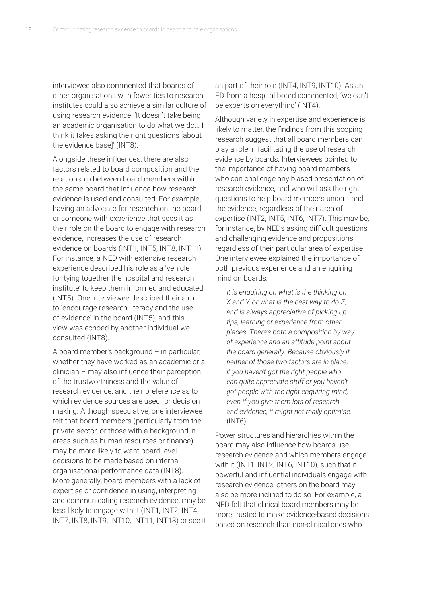interviewee also commented that boards of other organisations with fewer ties to research institutes could also achieve a similar culture of using research evidence: 'It doesn't take being an academic organisation to do what we do... I think it takes asking the right questions [about the evidence base]' (INT8).

Alongside these influences, there are also factors related to board composition and the relationship between board members within the same board that influence how research evidence is used and consulted. For example, having an advocate for research on the board, or someone with experience that sees it as their role on the board to engage with research evidence, increases the use of research evidence on boards (INT1, INT5, INT8, INT11). For instance, a NED with extensive research experience described his role as a 'vehicle for tying together the hospital and research institute' to keep them informed and educated (INT5). One interviewee described their aim to 'encourage research literacy and the use of evidence' in the board (INT5), and this view was echoed by another individual we consulted (INT8).

A board member's background – in particular, whether they have worked as an academic or a clinician – may also influence their perception of the trustworthiness and the value of research evidence, and their preference as to which evidence sources are used for decision making. Although speculative, one interviewee felt that board members (particularly from the private sector, or those with a background in areas such as human resources or finance) may be more likely to want board-level decisions to be made based on internal organisational performance data (INT8). More generally, board members with a lack of expertise or confidence in using, interpreting and communicating research evidence, may be less likely to engage with it (INT1, INT2, INT4, INT7, INT8, INT9, INT10, INT11, INT13) or see it

as part of their role (INT4, INT9, INT10). As an ED from a hospital board commented, 'we can't be experts on everything' (INT4).

Although variety in expertise and experience is likely to matter, the findings from this scoping research suggest that all board members can play a role in facilitating the use of research evidence by boards. Interviewees pointed to the importance of having board members who can challenge any biased presentation of research evidence, and who will ask the right questions to help board members understand the evidence, regardless of their area of expertise (INT2, INT5, INT6, INT7). This may be, for instance, by NEDs asking difficult questions and challenging evidence and propositions regardless of their particular area of expertise. One interviewee explained the importance of both previous experience and an enquiring mind on boards:

*It is enquiring on what is the thinking on X and Y, or what is the best way to do Z, and is always appreciative of picking up tips, learning or experience from other places. There's both a composition by way of experience and an attitude point about the board generally. Because obviously if neither of those two factors are in place, if you haven't got the right people who can quite appreciate stuff or you haven't got people with the right enquiring mind, even if you give them lots of research and evidence, it might not really optimise.*  (INT6)

Power structures and hierarchies within the board may also influence how boards use research evidence and which members engage with it (INT1, INT2, INT6, INT10), such that if powerful and influential individuals engage with research evidence, others on the board may also be more inclined to do so. For example, a NED felt that clinical board members may be more trusted to make evidence-based decisions based on research than non-clinical ones who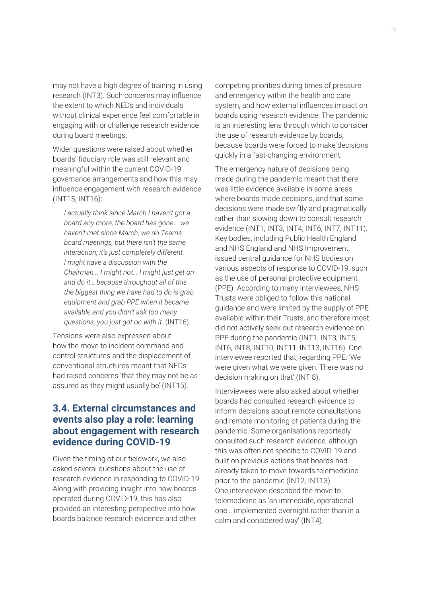may not have a high degree of training in using research (INT3). Such concerns may influence the extent to which NEDs and individuals without clinical experience feel comfortable in engaging with or challenge research evidence during board meetings.

Wider questions were raised about whether boards' fiduciary role was still relevant and meaningful within the current COVID-19 governance arrangements and how this may influence engagement with research evidence (INT15, INT16):

*I actually think since March I haven't got a board any more, the board has gone... we haven't met since March, we do Teams board meetings, but there isn't the same interaction; it's just completely different. I might have a discussion with the Chairman... I might not… I might just get on and do it… because throughout all of this the biggest thing we have had to do is grab equipment and grab PPE when it became available and you didn't ask too many questions, you just got on with it.* (INT16).

Tensions were also expressed about how the move to incident command and control structures and the displacement of conventional structures meant that NEDs had raised concerns 'that they may not be as assured as they might usually be' (INT15).

## **3.4. External circumstances and events also play a role: learning about engagement with research evidence during COVID-19**

Given the timing of our fieldwork, we also asked several questions about the use of research evidence in responding to COVID-19. Along with providing insight into how boards operated during COVID-19, this has also provided an interesting perspective into how boards balance research evidence and other

competing priorities during times of pressure and emergency within the health and care system, and how external influences impact on boards using research evidence. The pandemic is an interesting lens through which to consider the use of research evidence by boards, because boards were forced to make decisions quickly in a fast-changing environment.

The emergency nature of decisions being made during the pandemic meant that there was little evidence available in some areas where boards made decisions, and that some decisions were made swiftly and pragmatically rather than slowing down to consult research evidence (INT1, INT3, INT4, INT6, INT7, INT11). Key bodies, including Public Health England and NHS England and NHS Improvement, issued central guidance for NHS bodies on various aspects of response to COVID-19, such as the use of personal protective equipment (PPE). According to many interviewees, NHS Trusts were obliged to follow this national guidance and were limited by the supply of PPE available within their Trusts, and therefore most did not actively seek out research evidence on PPE during the pandemic (INT1, INT3, INT5, INT6, INT8, INT10, INT11, INT13, INT16). One interviewee reported that, regarding PPE: 'We were given what we were given. There was no decision making on that' (INT 8).

Interviewees were also asked about whether boards had consulted research evidence to inform decisions about remote consultations and remote monitoring of patients during the pandemic. Some organisations reportedly consulted such research evidence, although this was often not specific to COVID-19 and built on previous actions that boards had already taken to move towards telemedicine prior to the pandemic (INT2, INT13). One interviewee described the move to telemedicine as 'an immediate, operational one… implemented overnight rather than in a calm and considered way' (INT4).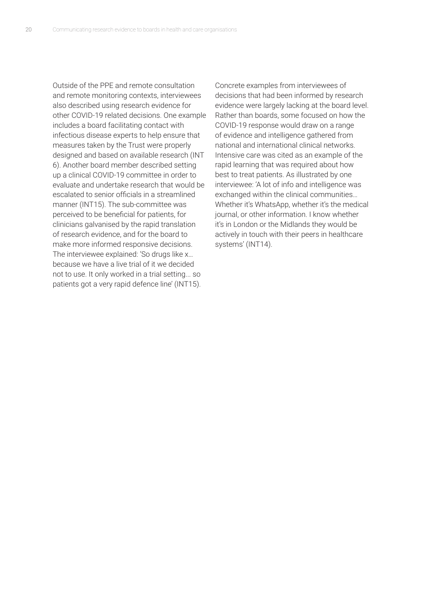Outside of the PPE and remote consultation and remote monitoring contexts, interviewees also described using research evidence for other COVID-19 related decisions. One example includes a board facilitating contact with infectious disease experts to help ensure that measures taken by the Trust were properly designed and based on available research (INT 6). Another board member described setting up a clinical COVID-19 committee in order to evaluate and undertake research that would be escalated to senior officials in a streamlined manner (INT15). The sub-committee was perceived to be beneficial for patients, for clinicians galvanised by the rapid translation of research evidence, and for the board to make more informed responsive decisions. The interviewee explained: 'So drugs like x… because we have a live trial of it we decided not to use. It only worked in a trial setting... so patients got a very rapid defence line' (INT15).

Concrete examples from interviewees of decisions that had been informed by research evidence were largely lacking at the board level. Rather than boards, some focused on how the COVID-19 response would draw on a range of evidence and intelligence gathered from national and international clinical networks. Intensive care was cited as an example of the rapid learning that was required about how best to treat patients. As illustrated by one interviewee: 'A lot of info and intelligence was exchanged within the clinical communities… Whether it's WhatsApp, whether it's the medical journal, or other information. I know whether it's in London or the Midlands they would be actively in touch with their peers in healthcare systems' (INT14).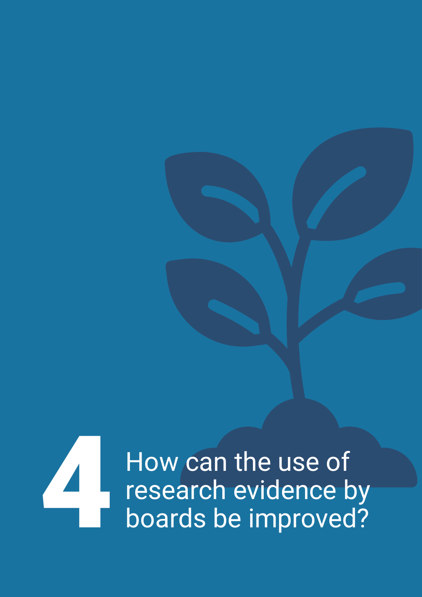How can the use of How can the use of<br>research evidence by<br>boards be improved?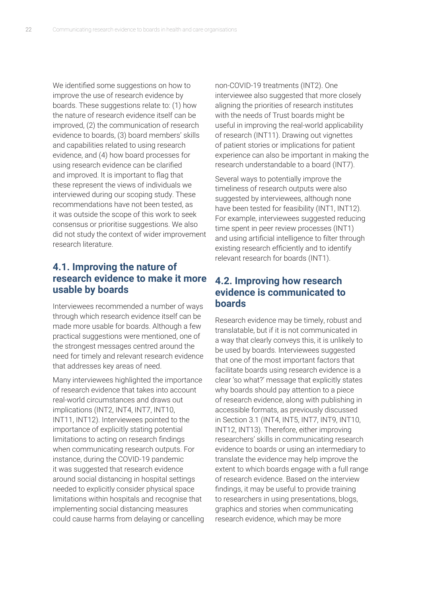We identified some suggestions on how to improve the use of research evidence by boards. These suggestions relate to: (1) how the nature of research evidence itself can be improved, (2) the communication of research evidence to boards, (3) board members' skills and capabilities related to using research evidence, and (4) how board processes for using research evidence can be clarified and improved. It is important to flag that these represent the views of individuals we interviewed during our scoping study. These recommendations have not been tested, as it was outside the scope of this work to seek consensus or prioritise suggestions. We also did not study the context of wider improvement research literature.

## **4.1. Improving the nature of research evidence to make it more usable by boards**

Interviewees recommended a number of ways through which research evidence itself can be made more usable for boards. Although a few practical suggestions were mentioned, one of the strongest messages centred around the need for timely and relevant research evidence that addresses key areas of need.

Many interviewees highlighted the importance of research evidence that takes into account real-world circumstances and draws out implications (INT2, INT4, INT7, INT10, INT11, INT12). Interviewees pointed to the importance of explicitly stating potential limitations to acting on research findings when communicating research outputs. For instance, during the COVID-19 pandemic it was suggested that research evidence around social distancing in hospital settings needed to explicitly consider physical space limitations within hospitals and recognise that implementing social distancing measures could cause harms from delaying or cancelling non-COVID-19 treatments (INT2). One interviewee also suggested that more closely aligning the priorities of research institutes with the needs of Trust boards might be useful in improving the real-world applicability of research (INT11). Drawing out vignettes of patient stories or implications for patient experience can also be important in making the research understandable to a board (INT7).

Several ways to potentially improve the timeliness of research outputs were also suggested by interviewees, although none have been tested for feasibility (INT1, INT12). For example, interviewees suggested reducing time spent in peer review processes (INT1) and using artificial intelligence to filter through existing research efficiently and to identify relevant research for boards (INT1).

#### **4.2. Improving how research evidence is communicated to boards**

Research evidence may be timely, robust and translatable, but if it is not communicated in a way that clearly conveys this, it is unlikely to be used by boards. Interviewees suggested that one of the most important factors that facilitate boards using research evidence is a clear 'so what?' message that explicitly states why boards should pay attention to a piece of research evidence, along with publishing in accessible formats, as previously discussed in Section 3.1 (INT4, INT5, INT7, INT9, INT10, INT12, INT13). Therefore, either improving researchers' skills in communicating research evidence to boards or using an intermediary to translate the evidence may help improve the extent to which boards engage with a full range of research evidence. Based on the interview findings, it may be useful to provide training to researchers in using presentations, blogs, graphics and stories when communicating research evidence, which may be more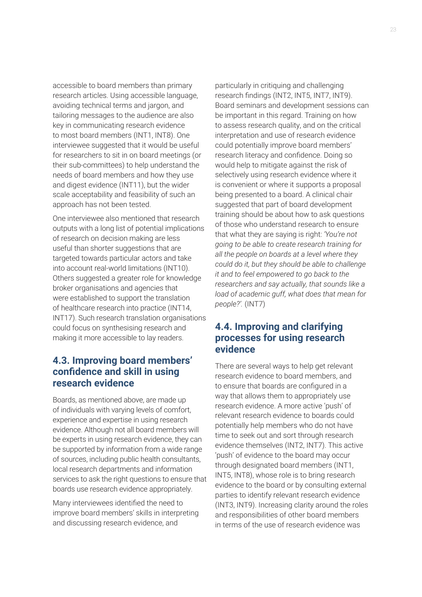accessible to board members than primary research articles. Using accessible language, avoiding technical terms and jargon, and tailoring messages to the audience are also key in communicating research evidence to most board members (INT1, INT8). One interviewee suggested that it would be useful for researchers to sit in on board meetings (or their sub-committees) to help understand the needs of board members and how they use and digest evidence (INT11), but the wider scale acceptability and feasibility of such an approach has not been tested.

One interviewee also mentioned that research outputs with a long list of potential implications of research on decision making are less useful than shorter suggestions that are targeted towards particular actors and take into account real-world limitations (INT10). Others suggested a greater role for knowledge broker organisations and agencies that were established to support the translation of healthcare research into practice (INT14, INT17). Such research translation organisations could focus on synthesising research and making it more accessible to lay readers.

#### **4.3. Improving board members' confidence and skill in using research evidence**

Boards, as mentioned above, are made up of individuals with varying levels of comfort, experience and expertise in using research evidence. Although not all board members will be experts in using research evidence, they can be supported by information from a wide range of sources, including public health consultants, local research departments and information services to ask the right questions to ensure that boards use research evidence appropriately.

Many interviewees identified the need to improve board members' skills in interpreting and discussing research evidence, and

particularly in critiquing and challenging research findings (INT2, INT5, INT7, INT9). Board seminars and development sessions can be important in this regard. Training on how to assess research quality, and on the critical interpretation and use of research evidence could potentially improve board members' research literacy and confidence. Doing so would help to mitigate against the risk of selectively using research evidence where it is convenient or where it supports a proposal being presented to a board. A clinical chair suggested that part of board development training should be about how to ask questions of those who understand research to ensure that what they are saying is right: *'You're not going to be able to create research training for all the people on boards at a level where they could do it, but they should be able to challenge it and to feel empowered to go back to the researchers and say actually, that sounds like a load of academic guff, what does that mean for people?'.* (INT7)

#### **4.4. Improving and clarifying processes for using research evidence**

There are several ways to help get relevant research evidence to board members, and to ensure that boards are configured in a way that allows them to appropriately use research evidence. A more active 'push' of relevant research evidence to boards could potentially help members who do not have time to seek out and sort through research evidence themselves (INT2, INT7). This active 'push' of evidence to the board may occur through designated board members (INT1, INT5, INT8), whose role is to bring research evidence to the board or by consulting external parties to identify relevant research evidence (INT3, INT9). Increasing clarity around the roles and responsibilities of other board members in terms of the use of research evidence was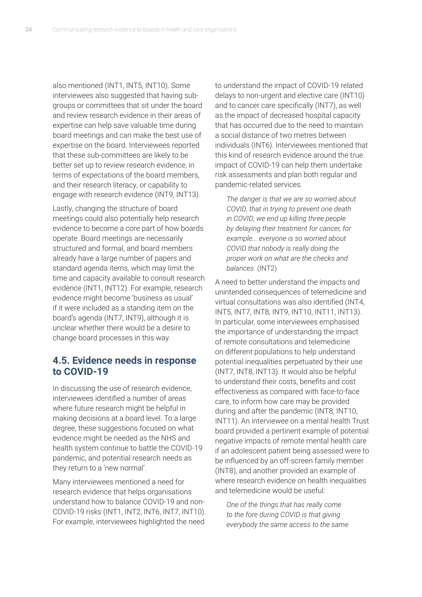also mentioned (INT1, INT5, INT10). Some interviewees also suggested that having subgroups or committees that sit under the board and review research evidence in their areas of expertise can help save valuable time during board meetings and can make the best use of expertise on the board. Interviewees reported that these sub-committees are likely to be better set up to review research evidence, in terms of expectations of the board members, and their research literacy, or capability to engage with research evidence (INT9, INT13).

Lastly, changing the structure of board meetings could also potentially help research evidence to become a core part of how boards operate. Board meetings are necessarily structured and formal, and board members already have a large number of papers and standard agenda items, which may limit the time and capacity available to consult research evidence (INT1, INT12). For example, research evidence might become 'business as usual' if it were included as a standing item on the board's agenda (INT7, INT9), although it is unclear whether there would be a desire to change board processes in this way.

#### **4.5. Evidence needs in response to COVID-19**

In discussing the use of research evidence, interviewees identified a number of areas where future research might be helpful in making decisions at a board level. To a large degree, these suggestions focused on what evidence might be needed as the NHS and health system continue to battle the COVID-19 pandemic, and potential research needs as they return to a 'new normal'.

Many interviewees mentioned a need for research evidence that helps organisations understand how to balance COVID-19 and non-COVID-19 risks (INT1, INT2, INT6, INT7, INT10). For example, interviewees highlighted the need to understand the impact of COVID-19 related delays to non-urgent and elective care (INT10) and to cancer care specifically (INT7), as well as the impact of decreased hospital capacity that has occurred due to the need to maintain a social distance of two metres between individuals (INT6). Interviewees mentioned that this kind of research evidence around the true impact of COVID-19 can help them undertake risk assessments and plan both regular and pandemic-related services.

*The danger is that we are so worried about COVID, that in trying to prevent one death in COVID, we end up killing three people by delaying their treatment for cancer, for example... everyone is so worried about COVID that nobody is really doing the proper work on what are the checks and balances.* (INT2)

A need to better understand the impacts and unintended consequences of telemedicine and virtual consultations was also identified (INT4, INT5, INT7, INT8, INT9, INT10, INT11, INT13). In particular, some interviewees emphasised the importance of understanding the impact of remote consultations and telemedicine on different populations to help understand potential inequalities perpetuated by their use (INT7, INT8, INT13). It would also be helpful to understand their costs, benefits and cost effectiveness as compared with face-to-face care, to inform how care may be provided during and after the pandemic (INT8, INT10, INT11). An interviewee on a mental health Trust board provided a pertinent example of potential negative impacts of remote mental health care if an adolescent patient being assessed were to be influenced by an off-screen family member (INT8), and another provided an example of where research evidence on health inequalities and telemedicine would be useful:

*One of the things that has really come to the fore during COVID is that giving everybody the same access to the same*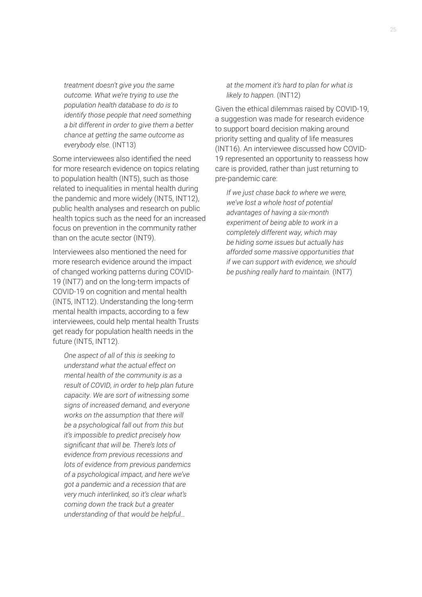*treatment doesn't give you the same outcome. What we're trying to use the population health database to do is to identify those people that need something a bit different in order to give them a better chance at getting the same outcome as everybody else.* (INT13)

Some interviewees also identified the need for more research evidence on topics relating to population health (INT5), such as those related to inequalities in mental health during the pandemic and more widely (INT5, INT12), public health analyses and research on public health topics such as the need for an increased focus on prevention in the community rather than on the acute sector (INT9).

Interviewees also mentioned the need for more research evidence around the impact of changed working patterns during COVID-19 (INT7) and on the long-term impacts of COVID-19 on cognition and mental health (INT5, INT12). Understanding the long-term mental health impacts, according to a few interviewees, could help mental health Trusts get ready for population health needs in the future (INT5, INT12).

*One aspect of all of this is seeking to understand what the actual effect on mental health of the community is as a result of COVID, in order to help plan future capacity. We are sort of witnessing some signs of increased demand, and everyone works on the assumption that there will be a psychological fall out from this but it's impossible to predict precisely how significant that will be. There's lots of evidence from previous recessions and lots of evidence from previous pandemics of a psychological impact, and here we've got a pandemic and a recession that are very much interlinked, so it's clear what's coming down the track but a greater understanding of that would be helpful…* 

#### *at the moment it's hard to plan for what is likely to happen.* (INT12)

Given the ethical dilemmas raised by COVID-19, a suggestion was made for research evidence to support board decision making around priority setting and quality of life measures (INT16). An interviewee discussed how COVID-19 represented an opportunity to reassess how care is provided, rather than just returning to pre-pandemic care:

*If we just chase back to where we were, we've lost a whole host of potential advantages of having a six-month experiment of being able to work in a completely different way, which may be hiding some issues but actually has afforded some massive opportunities that if we can support with evidence, we should be pushing really hard to maintain.* (INT7)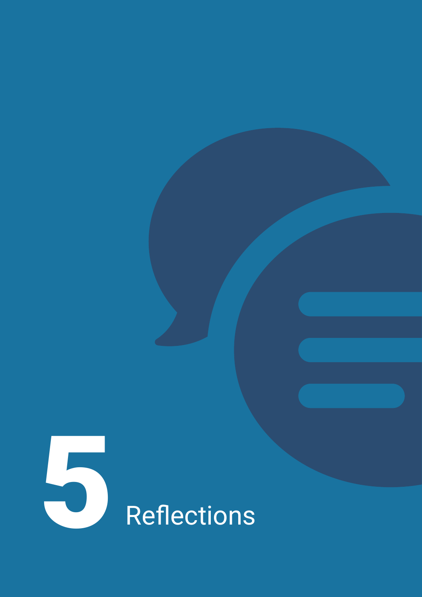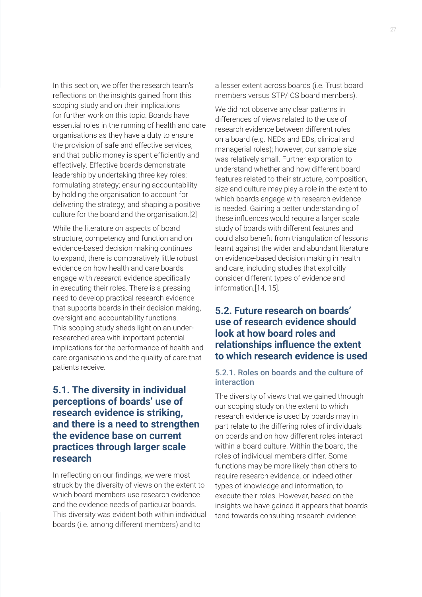In this section, we offer the research team's reflections on the insights gained from this scoping study and on their implications for further work on this topic. Boards have essential roles in the running of health and care organisations as they have a duty to ensure the provision of safe and effective services, and that public money is spent efficiently and effectively. Effective boards demonstrate leadership by undertaking three key roles: formulating strategy; ensuring accountability by holding the organisation to account for delivering the strategy; and shaping a positive culture for the board and the organisation.[2]

While the literature on aspects of board structure, competency and function and on evidence-based decision making continues to expand, there is comparatively little robust evidence on how health and care boards engage with *research* evidence specifically in executing their roles. There is a pressing need to develop practical research evidence that supports boards in their decision making, oversight and accountability functions. This scoping study sheds light on an underresearched area with important potential implications for the performance of health and care organisations and the quality of care that patients receive.

## **5.1. The diversity in individual perceptions of boards' use of research evidence is striking, and there is a need to strengthen the evidence base on current practices through larger scale research**

In reflecting on our findings, we were most struck by the diversity of views on the extent to which board members use research evidence and the evidence needs of particular boards. This diversity was evident both within individual boards (i.e. among different members) and to

a lesser extent across boards (i.e. Trust board members versus STP/ICS board members).

We did not observe any clear patterns in differences of views related to the use of research evidence between different roles on a board (e.g. NEDs and EDs, clinical and managerial roles); however, our sample size was relatively small. Further exploration to understand whether and how different board features related to their structure, composition, size and culture may play a role in the extent to which boards engage with research evidence is needed. Gaining a better understanding of these influences would require a larger scale study of boards with different features and could also benefit from triangulation of lessons learnt against the wider and abundant literature on evidence-based decision making in health and care, including studies that explicitly consider different types of evidence and information.[14, 15].

## **5.2. Future research on boards' use of research evidence should look at how board roles and relationships influence the extent to which research evidence is used**

#### 5.2.1. Roles on boards and the culture of interaction

The diversity of views that we gained through our scoping study on the extent to which research evidence is used by boards may in part relate to the differing roles of individuals on boards and on how different roles interact within a board culture. Within the board, the roles of individual members differ. Some functions may be more likely than others to require research evidence, or indeed other types of knowledge and information, to execute their roles. However, based on the insights we have gained it appears that boards tend towards consulting research evidence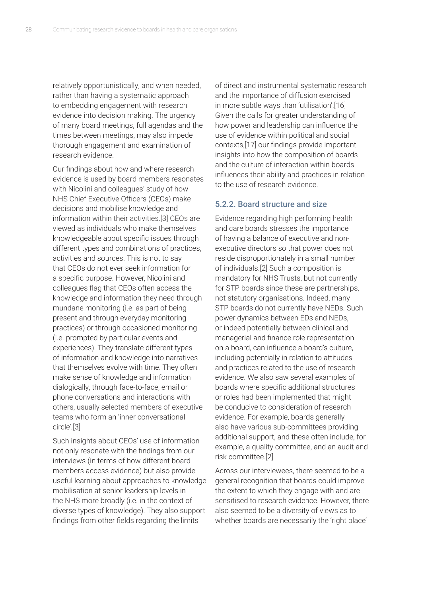relatively opportunistically, and when needed, rather than having a systematic approach to embedding engagement with research evidence into decision making. The urgency of many board meetings, full agendas and the times between meetings, may also impede thorough engagement and examination of research evidence.

Our findings about how and where research evidence is used by board members resonates with Nicolini and colleagues' study of how NHS Chief Executive Officers (CEOs) make decisions and mobilise knowledge and information within their activities.[3] CEOs are viewed as individuals who make themselves knowledgeable about specific issues through different types and combinations of practices, activities and sources. This is not to say that CEOs do not ever seek information for a specific purpose. However, Nicolini and colleagues flag that CEOs often access the knowledge and information they need through mundane monitoring (i.e. as part of being present and through everyday monitoring practices) or through occasioned monitoring (i.e. prompted by particular events and experiences). They translate different types of information and knowledge into narratives that themselves evolve with time. They often make sense of knowledge and information dialogically, through face-to-face, email or phone conversations and interactions with others, usually selected members of executive teams who form an 'inner conversational circle'.[3]

Such insights about CEOs' use of information not only resonate with the findings from our interviews (in terms of how different board members access evidence) but also provide useful learning about approaches to knowledge mobilisation at senior leadership levels in the NHS more broadly (i.e. in the context of diverse types of knowledge). They also support findings from other fields regarding the limits

of direct and instrumental systematic research and the importance of diffusion exercised in more subtle ways than 'utilisation'.[16] Given the calls for greater understanding of how power and leadership can influence the use of evidence within political and social contexts,[17] our findings provide important insights into how the composition of boards and the culture of interaction within boards influences their ability and practices in relation to the use of research evidence.

#### 5.2.2. Board structure and size

Evidence regarding high performing health and care boards stresses the importance of having a balance of executive and nonexecutive directors so that power does not reside disproportionately in a small number of individuals.[2] Such a composition is mandatory for NHS Trusts, but not currently for STP boards since these are partnerships, not statutory organisations. Indeed, many STP boards do not currently have NEDs. Such power dynamics between EDs and NEDs, or indeed potentially between clinical and managerial and finance role representation on a board, can influence a board's culture, including potentially in relation to attitudes and practices related to the use of research evidence. We also saw several examples of boards where specific additional structures or roles had been implemented that might be conducive to consideration of research evidence. For example, boards generally also have various sub-committees providing additional support, and these often include, for example, a quality committee, and an audit and risk committee.[2]

Across our interviewees, there seemed to be a general recognition that boards could improve the extent to which they engage with and are sensitised to research evidence. However, there also seemed to be a diversity of views as to whether boards are necessarily the 'right place'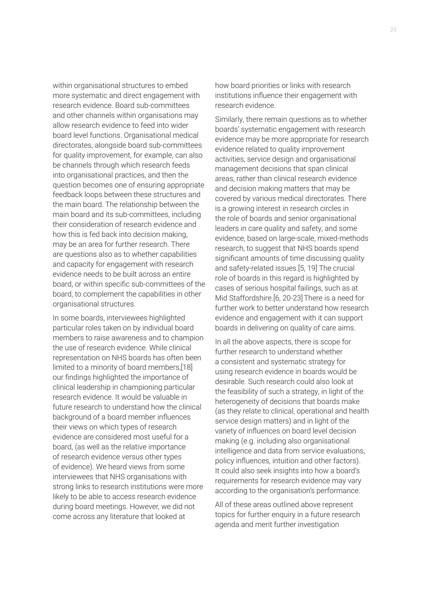within organisational structures to embed more systematic and direct engagement with research evidence. Board sub-committees and other channels within organisations may allow research evidence to feed into wider board level functions. Organisational medical directorates, alongside board sub-committees for quality improvement, for example, can also be channels through which research feeds into organisational practices, and then the question becomes one of ensuring appropriate feedback loops between these structures and the main board. The relationship between the main board and its sub-committees, including their consideration of research evidence and how this is fed back into decision making, may be an area for further research. There are questions also as to whether capabilities and capacity for engagement with research evidence needs to be built across an entire board, or within specific sub-committees of the board, to complement the capabilities in other organisational structures.

In some boards, interviewees highlighted particular roles taken on by individual board members to raise awareness and to champion the use of research evidence. While clinical representation on NHS boards has often been limited to a minority of board members,[18] our findings highlighted the importance of clinical leadership in championing particular research evidence. It would be valuable in future research to understand how the clinical background of a board member influences their views on which types of research evidence are considered most useful for a board, (as well as the relative importance of research evidence versus other types of evidence). We heard views from some interviewees that NHS organisations with strong links to research institutions were more likely to be able to access research evidence during board meetings. However, we did not come across any literature that looked at

how board priorities or links with research institutions influence their engagement with research evidence.

Similarly, there remain questions as to whether boards' systematic engagement with research evidence may be more appropriate for research evidence related to quality improvement activities, service design and organisational management decisions that span clinical areas, rather than clinical research evidence and decision making matters that may be covered by various medical directorates. There is a growing interest in research circles in the role of boards and senior organisational leaders in care quality and safety, and some evidence, based on large-scale, mixed-methods research, to suggest that NHS boards spend significant amounts of time discussing quality and safety-related issues.[5, 19] The crucial role of boards in this regard is highlighted by cases of serious hospital failings, such as at Mid Staffordshire.[6, 20-23]There is a need for further work to better understand how research evidence and engagement with it can support boards in delivering on quality of care aims.

In all the above aspects, there is scope for further research to understand whether a consistent and systematic strategy for using research evidence in boards would be desirable. Such research could also look at the feasibility of such a strategy, in light of the heterogeneity of decisions that boards make (as they relate to clinical, operational and health service design matters) and in light of the variety of influences on board level decision making (e.g. including also organisational intelligence and data from service evaluations, policy influences, intuition and other factors). It could also seek insights into how a board's requirements for research evidence may vary according to the organisation's performance.

All of these areas outlined above represent topics for further enquiry in a future research agenda and merit further investigation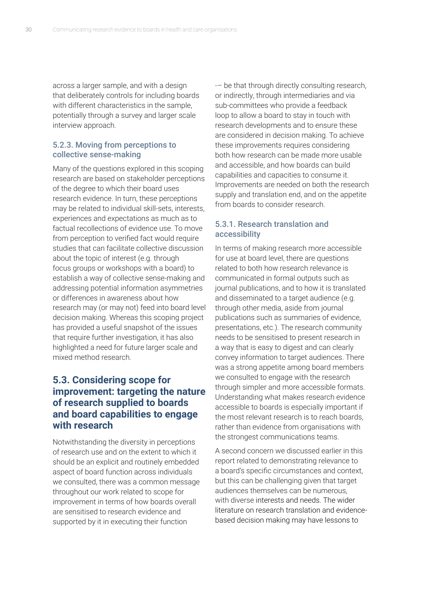across a larger sample, and with a design that deliberately controls for including boards with different characteristics in the sample, potentially through a survey and larger scale interview approach.

#### 5.2.3. Moving from perceptions to collective sense-making

Many of the questions explored in this scoping research are based on stakeholder perceptions of the degree to which their board uses research evidence. In turn, these perceptions may be related to individual skill-sets, interests, experiences and expectations as much as to factual recollections of evidence use. To move from perception to verified fact would require studies that can facilitate collective discussion about the topic of interest (e.g. through focus groups or workshops with a board) to establish a way of collective sense-making and addressing potential information asymmetries or differences in awareness about how research may (or may not) feed into board level decision making. Whereas this scoping project has provided a useful snapshot of the issues that require further investigation, it has also highlighted a need for future larger scale and mixed method research.

# **5.3. Considering scope for improvement: targeting the nature of research supplied to boards and board capabilities to engage with research**

Notwithstanding the diversity in perceptions of research use and on the extent to which it should be an explicit and routinely embedded aspect of board function across individuals we consulted, there was a common message throughout our work related to scope for improvement in terms of how boards overall are sensitised to research evidence and supported by it in executing their function

-– be that through directly consulting research, or indirectly, through intermediaries and via sub-committees who provide a feedback loop to allow a board to stay in touch with research developments and to ensure these are considered in decision making. To achieve these improvements requires considering both how research can be made more usable and accessible, and how boards can build capabilities and capacities to consume it. Improvements are needed on both the research supply and translation end, and on the appetite from boards to consider research.

#### 5.3.1. Research translation and accessibility

In terms of making research more accessible for use at board level, there are questions related to both how research relevance is communicated in formal outputs such as journal publications, and to how it is translated and disseminated to a target audience (e.g. through other media, aside from journal publications such as summaries of evidence, presentations, etc.). The research community needs to be sensitised to present research in a way that is easy to digest and can clearly convey information to target audiences. There was a strong appetite among board members we consulted to engage with the research through simpler and more accessible formats. Understanding what makes research evidence accessible to boards is especially important if the most relevant research is to reach boards, rather than evidence from organisations with the strongest communications teams.

A second concern we discussed earlier in this report related to demonstrating relevance to a board's specific circumstances and context, but this can be challenging given that target audiences themselves can be numerous, with diverse interests and needs. The wider literature on research translation and evidencebased decision making may have lessons to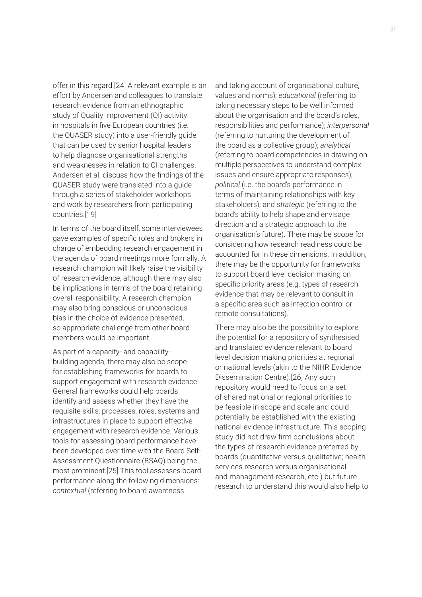offer in this regard.[24] A relevant example is an effort by Andersen and colleagues to translate research evidence from an ethnographic study of Quality Improvement (QI) activity in hospitals in five European countries (i.e. the QUASER study) into a user-friendly guide that can be used by senior hospital leaders to help diagnose organisational strengths and weaknesses in relation to QI challenges. Andersen et al. discuss how the findings of the QUASER study were translated into a guide through a series of stakeholder workshops and work by researchers from participating countries.[19]

In terms of the board itself, some interviewees gave examples of specific roles and brokers in charge of embedding research engagement in the agenda of board meetings more formally. A research champion will likely raise the visibility of research evidence, although there may also be implications in terms of the board retaining overall responsibility. A research champion may also bring conscious or unconscious bias in the choice of evidence presented, so appropriate challenge from other board members would be important.

As part of a capacity- and capabilitybuilding agenda, there may also be scope for establishing frameworks for boards to support engagement with research evidence. General frameworks could help boards identify and assess whether they have the requisite skills, processes, roles, systems and infrastructures in place to support effective engagement with research evidence. Various tools for assessing board performance have been developed over time with the Board Self-Assessment Questionnaire (BSAQ) being the most prominent.[25] This tool assesses board performance along the following dimensions: *contextual* (referring to board awareness

and taking account of organisational culture, values and norms); *educational* (referring to taking necessary steps to be well informed about the organisation and the board's roles, responsibilities and performance); *interpersonal* (referring to nurturing the development of the board as a collective group); *analytical*  (referring to board competencies in drawing on multiple perspectives to understand complex issues and ensure appropriate responses); *political* (i.e. the board's performance in terms of maintaining relationships with key stakeholders); and *strategic* (referring to the board's ability to help shape and envisage direction and a strategic approach to the organisation's future). There may be scope for considering how research readiness could be accounted for in these dimensions. In addition, there may be the opportunity for frameworks to support board level decision making on specific priority areas (e.g. types of research evidence that may be relevant to consult in a specific area such as infection control or remote consultations).

There may also be the possibility to explore the potential for a repository of synthesised and translated evidence relevant to board level decision making priorities at regional or national levels (akin to the NIHR Evidence Dissemination Centre).[26] Any such repository would need to focus on a set of shared national or regional priorities to be feasible in scope and scale and could potentially be established with the existing national evidence infrastructure. This scoping study did not draw firm conclusions about the types of research evidence preferred by boards (quantitative versus qualitative; health services research versus organisational and management research, etc.) but future research to understand this would also help to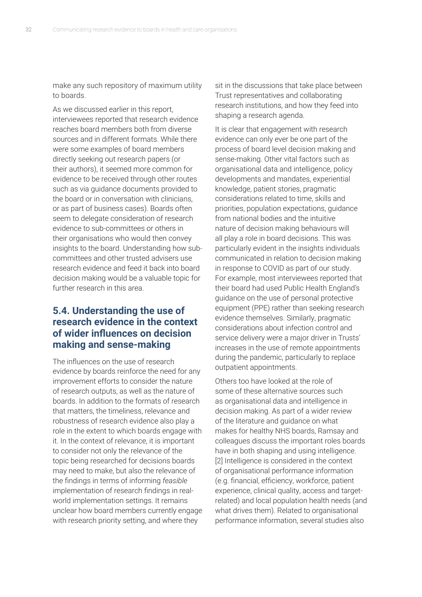make any such repository of maximum utility to boards.

As we discussed earlier in this report, interviewees reported that research evidence reaches board members both from diverse sources and in different formats. While there were some examples of board members directly seeking out research papers (or their authors), it seemed more common for evidence to be received through other routes such as via guidance documents provided to the board or in conversation with clinicians, or as part of business cases). Boards often seem to delegate consideration of research evidence to sub-committees or others in their organisations who would then convey insights to the board. Understanding how subcommittees and other trusted advisers use research evidence and feed it back into board decision making would be a valuable topic for further research in this area.

## **5.4. Understanding the use of research evidence in the context of wider influences on decision making and sense-making**

The influences on the use of research evidence by boards reinforce the need for any improvement efforts to consider the nature of research outputs, as well as the nature of boards. In addition to the formats of research that matters, the timeliness, relevance and robustness of research evidence also play a role in the extent to which boards engage with it. In the context of relevance, it is important to consider not only the relevance of the topic being researched for decisions boards may need to make, but also the relevance of the findings in terms of informing *feasible* implementation of research findings in realworld implementation settings. It remains unclear how board members currently engage with research priority setting, and where they

sit in the discussions that take place between Trust representatives and collaborating research institutions, and how they feed into shaping a research agenda.

It is clear that engagement with research evidence can only ever be one part of the process of board level decision making and sense-making. Other vital factors such as organisational data and intelligence, policy developments and mandates, experiential knowledge, patient stories, pragmatic considerations related to time, skills and priorities, population expectations, guidance from national bodies and the intuitive nature of decision making behaviours will all play a role in board decisions. This was particularly evident in the insights individuals communicated in relation to decision making in response to COVID as part of our study. For example, most interviewees reported that their board had used Public Health England's guidance on the use of personal protective equipment (PPE) rather than seeking research evidence themselves. Similarly, pragmatic considerations about infection control and service delivery were a major driver in Trusts' increases in the use of remote appointments during the pandemic, particularly to replace outpatient appointments.

Others too have looked at the role of some of these alternative sources such as organisational data and intelligence in decision making. As part of a wider review of the literature and guidance on what makes for healthy NHS boards, Ramsay and colleagues discuss the important roles boards have in both shaping and using intelligence. [2] Intelligence is considered in the context of organisational performance information (e.g. financial, efficiency, workforce, patient experience, clinical quality, access and targetrelated) and local population health needs (and what drives them). Related to organisational performance information, several studies also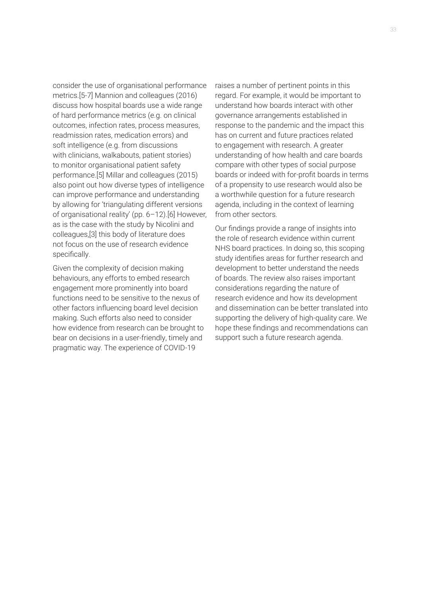consider the use of organisational performance metrics.[5-7] Mannion and colleagues (2016) discuss how hospital boards use a wide range of hard performance metrics (e.g. on clinical outcomes, infection rates, process measures, readmission rates, medication errors) and soft intelligence (e.g. from discussions with clinicians, walkabouts, patient stories) to monitor organisational patient safety performance.[5] Millar and colleagues (2015) also point out how diverse types of intelligence can improve performance and understanding by allowing for 'triangulating different versions of organisational reality' (pp. 6–12).[6] However, as is the case with the study by Nicolini and colleagues,[3] this body of literature does not focus on the use of research evidence specifically.

Given the complexity of decision making behaviours, any efforts to embed research engagement more prominently into board functions need to be sensitive to the nexus of other factors influencing board level decision making. Such efforts also need to consider how evidence from research can be brought to bear on decisions in a user-friendly, timely and pragmatic way. The experience of COVID-19

raises a number of pertinent points in this regard. For example, it would be important to understand how boards interact with other governance arrangements established in response to the pandemic and the impact this has on current and future practices related to engagement with research. A greater understanding of how health and care boards compare with other types of social purpose boards or indeed with for-profit boards in terms of a propensity to use research would also be a worthwhile question for a future research agenda, including in the context of learning from other sectors.

Our findings provide a range of insights into the role of research evidence within current NHS board practices. In doing so, this scoping study identifies areas for further research and development to better understand the needs of boards. The review also raises important considerations regarding the nature of research evidence and how its development and dissemination can be better translated into supporting the delivery of high-quality care. We hope these findings and recommendations can support such a future research agenda.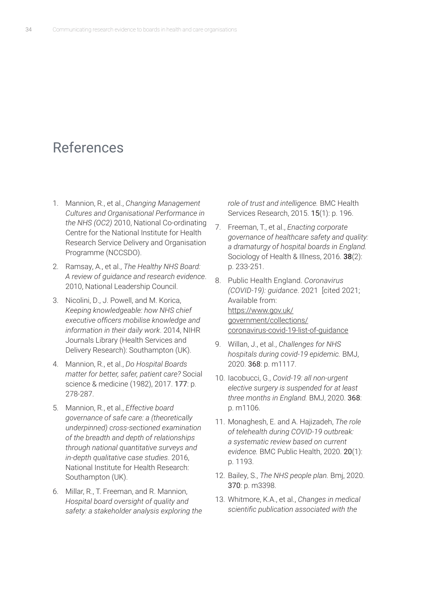# References

- 1. Mannion, R., et al., *Changing Management Cultures and Organisational Performance in the NHS (OC2)* 2010, National Co-ordinating Centre for the National Institute for Health Research Service Delivery and Organisation Programme (NCCSDO).
- 2. Ramsay, A., et al., *The Healthy NHS Board: A review of guidance and research evidence*. 2010, National Leadership Council.
- 3. Nicolini, D., J. Powell, and M. Korica, *Keeping knowledgeable: how NHS chief executive officers mobilise knowledge and information in their daily work*. 2014, NIHR Journals Library (Health Services and Delivery Research): Southampton (UK).
- 4. Mannion, R., et al., *Do Hospital Boards matter for better, safer, patient care?* Social science & medicine (1982), 2017. 177: p. 278-287.
- 5. Mannion, R., et al., *Effective board governance of safe care: a (theoretically underpinned) cross-sectioned examination of the breadth and depth of relationships through national quantitative surveys and in-depth qualitative case studies*. 2016, National Institute for Health Research: Southampton (UK).
- 6. Millar, R., T. Freeman, and R. Mannion, *Hospital board oversight of quality and safety: a stakeholder analysis exploring the*

*role of trust and intelligence.* BMC Health Services Research, 2015. 15(1): p. 196.

- 7. Freeman, T., et al., *Enacting corporate governance of healthcare safety and quality: a dramaturgy of hospital boards in England.* Sociology of Health & Illness, 2016. **38**(2): p. 233-251.
- 8. Public Health England. *Coronavirus (COVID-19): guidance*. 2021 [cited 2021; Available from: https://www.gov.uk/ government/collections/ [coronavirus-covid-19-list-of-guidance](https://www.gov.uk/government/collections/coronavirus-covid-19-list-of-guidance)
- 9. Willan, J., et al., *Challenges for NHS hospitals during covid-19 epidemic.* BMJ, 2020. 368: p. m1117.
- 10. Iacobucci, G., *Covid-19: all non-urgent elective surgery is suspended for at least three months in England.* BMJ, 2020. 368: p. m1106.
- 11. Monaghesh, E. and A. Hajizadeh, *The role of telehealth during COVID-19 outbreak: a systematic review based on current evidence.* BMC Public Health, 2020. 20(1): p. 1193.
- 12. Bailey, S., *The NHS people plan.* Bmj, 2020. 370: p. m3398.
- 13. Whitmore, K.A., et al., *Changes in medical scientific publication associated with the*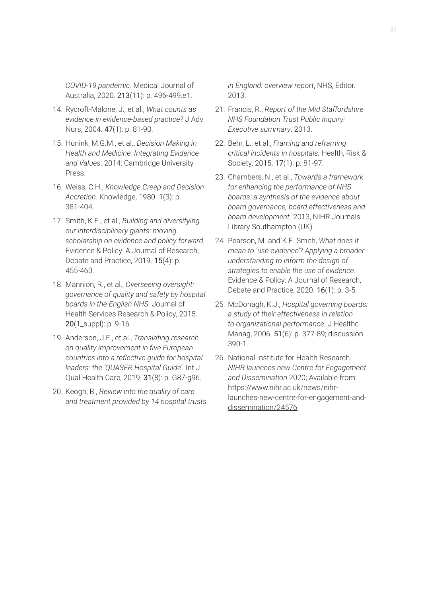*COVID-19 pandemic.* Medical Journal of Australia, 2020. 213(11): p. 496-499.e1.

- 14. Rycroft-Malone, J., et al., *What counts as evidence in evidence-based practice?* J Adv Nurs, 2004. 47(1): p. 81-90.
- 15. Hunink, M.G.M., et al., *Decision Making in Health and Medicine: Integrating Evidence and Values*. 2014: Cambridge University Press.
- 16. Weiss, C.H., *Knowledge Creep and Decision Accretion.* Knowledge, 1980. 1(3): p. 381-404.
- 17. Smith, K.E., et al., *Building and diversifying our interdisciplinary giants: moving scholarship on evidence and policy forward.* Evidence & Policy: A Journal of Research, Debate and Practice, 2019. **15(4)**: p. 455-460.
- 18. Mannion, R., et al., *Overseeing oversight: governance of quality and safety by hospital boards in the English NHS.* Journal of Health Services Research & Policy, 2015. 20(1\_suppl): p. 9-16.
- 19. Anderson, J.E., et al., *Translating research on quality improvement in five European countries into a reflective guide for hospital leaders: the 'QUASER Hospital Guide'.* Int J Qual Health Care, 2019. 31(8): p. G87-g96.
- 20. Keogh, B., *Review into the quality of care and treatment provided by 14 hospital trusts*

*in England: overview report*, NHS, Editor. 2013.

- 21. Francis, R., *Report of the Mid Staffordshire NHS Foundation Trust Public Inquiry: Executive summary*. 2013.
- 22. Behr, L., et al., *Framing and reframing critical incidents in hospitals.* Health, Risk & Society, 2015. 17(1): p. 81-97.
- 23. Chambers, N., et al., *Towards a framework for enhancing the performance of NHS boards: a synthesis of the evidence about board governance, board effectiveness and board development*. 2013, NIHR Journals Library Southampton (UK).
- 24. Pearson, M. and K.E. Smith, *What does it mean to 'use evidence'? Applying a broader understanding to inform the design of strategies to enable the use of evidence.* Evidence & Policy: A Journal of Research, Debate and Practice, 2020. 16(1): p. 3-5.
- 25. McDonagh, K.J., *Hospital governing boards: a study of their effectiveness in relation to organizational performance.* J Healthc Manag, 2006. 51(6): p. 377-89; discussion 390-1.
- 26. National Institute for Health Research. *NIHR launches new Centre for Engagement and Dissemination* 2020; Available from: https://www.nihr.ac.uk/news/nihr[launches-new-centre-for-engagement-and](https://www.nihr.ac.uk/news/nihr-launches-new-centre-for-engagement-and-dissemination/24576)dissemination/24576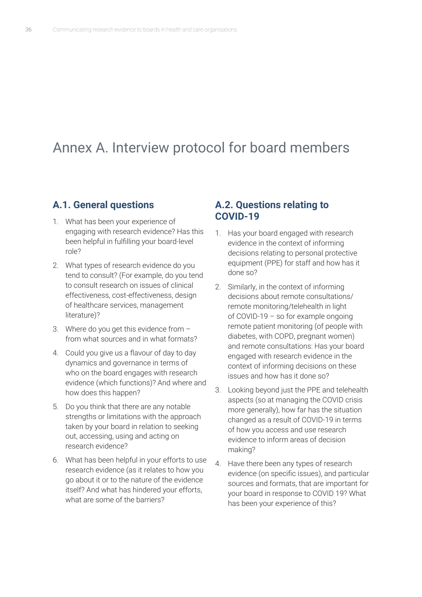# Annex A. Interview protocol for board members

## **A.1. General questions**

- 1. What has been your experience of engaging with research evidence? Has this been helpful in fulfilling your board-level role?
- 2. What types of research evidence do you tend to consult? (For example, do you tend to consult research on issues of clinical effectiveness, cost-effectiveness, design of healthcare services, management literature)?
- 3. Where do you get this evidence from from what sources and in what formats?
- 4. Could you give us a flavour of day to day dynamics and governance in terms of who on the board engages with research evidence (which functions)? And where and how does this happen?
- 5. Do you think that there are any notable strengths or limitations with the approach taken by your board in relation to seeking out, accessing, using and acting on research evidence?
- 6. What has been helpful in your efforts to use research evidence (as it relates to how you go about it or to the nature of the evidence itself? And what has hindered your efforts, what are some of the barriers?

#### **A.2. Questions relating to COVID-19**

- 1. Has your board engaged with research evidence in the context of informing decisions relating to personal protective equipment (PPE) for staff and how has it done so?
- 2. Similarly, in the context of informing decisions about remote consultations/ remote monitoring/telehealth in light of COVID-19 – so for example ongoing remote patient monitoring (of people with diabetes, with COPD, pregnant women) and remote consultations: Has your board engaged with research evidence in the context of informing decisions on these issues and how has it done so?
- 3. Looking beyond just the PPE and telehealth aspects (so at managing the COVID crisis more generally), how far has the situation changed as a result of COVID-19 in terms of how you access and use research evidence to inform areas of decision making?
- 4. Have there been any types of research evidence (on specific issues), and particular sources and formats, that are important for your board in response to COVID 19? What has been your experience of this?